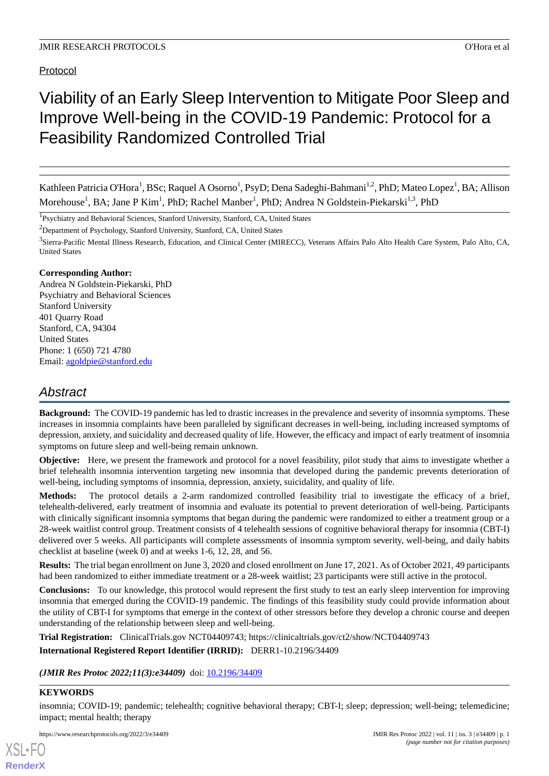## Protocol

# Viability of an Early Sleep Intervention to Mitigate Poor Sleep and Improve Well-being in the COVID-19 Pandemic: Protocol for a Feasibility Randomized Controlled Trial

Kathleen Patricia O'Hora<sup>1</sup>, BSc; Raquel A Osorno<sup>1</sup>, PsyD; Dena Sadeghi-Bahmani<sup>1,2</sup>, PhD; Mateo Lopez<sup>1</sup>, BA; Allison Morehouse<sup>1</sup>, BA; Jane P Kim<sup>1</sup>, PhD; Rachel Manber<sup>1</sup>, PhD; Andrea N Goldstein-Piekarski<sup>1,3</sup>, PhD

<sup>1</sup>Psychiatry and Behavioral Sciences, Stanford University, Stanford, CA, United States

<sup>2</sup>Department of Psychology, Stanford University, Stanford, CA, United States

<sup>3</sup>Sierra-Pacific Mental Illness Research, Education, and Clinical Center (MIRECC), Veterans Affairs Palo Alto Health Care System, Palo Alto, CA, United States

## **Corresponding Author:**

Andrea N Goldstein-Piekarski, PhD Psychiatry and Behavioral Sciences Stanford University 401 Quarry Road Stanford, CA, 94304 United States Phone: 1 (650) 721 4780 Email: [agoldpie@stanford.edu](mailto:agoldpie@stanford.edu)

## *Abstract*

**Background:** The COVID-19 pandemic has led to drastic increases in the prevalence and severity of insomnia symptoms. These increases in insomnia complaints have been paralleled by significant decreases in well-being, including increased symptoms of depression, anxiety, and suicidality and decreased quality of life. However, the efficacy and impact of early treatment of insomnia symptoms on future sleep and well-being remain unknown.

**Objective:** Here, we present the framework and protocol for a novel feasibility, pilot study that aims to investigate whether a brief telehealth insomnia intervention targeting new insomnia that developed during the pandemic prevents deterioration of well-being, including symptoms of insomnia, depression, anxiety, suicidality, and quality of life.

**Methods:** The protocol details a 2-arm randomized controlled feasibility trial to investigate the efficacy of a brief, telehealth-delivered, early treatment of insomnia and evaluate its potential to prevent deterioration of well-being. Participants with clinically significant insomnia symptoms that began during the pandemic were randomized to either a treatment group or a 28-week waitlist control group. Treatment consists of 4 telehealth sessions of cognitive behavioral therapy for insomnia (CBT-I) delivered over 5 weeks. All participants will complete assessments of insomnia symptom severity, well-being, and daily habits checklist at baseline (week 0) and at weeks 1-6, 12, 28, and 56.

**Results:** The trial began enrollment on June 3, 2020 and closed enrollment on June 17, 2021. As of October 2021, 49 participants had been randomized to either immediate treatment or a 28-week waitlist; 23 participants were still active in the protocol.

**Conclusions:** To our knowledge, this protocol would represent the first study to test an early sleep intervention for improving insomnia that emerged during the COVID-19 pandemic. The findings of this feasibility study could provide information about the utility of CBT-I for symptoms that emerge in the context of other stressors before they develop a chronic course and deepen understanding of the relationship between sleep and well-being.

**Trial Registration:** ClinicalTrials.gov NCT04409743; https://clinicaltrials.gov/ct2/show/NCT04409743

**International Registered Report Identifier (IRRID):** DERR1-10.2196/34409

*(JMIR Res Protoc 2022;11(3):e34409)* doi: [10.2196/34409](http://dx.doi.org/10.2196/34409)

## **KEYWORDS**

[XSL](http://www.w3.org/Style/XSL)•FO **[RenderX](http://www.renderx.com/)**

insomnia; COVID-19; pandemic; telehealth; cognitive behavioral therapy; CBT-I; sleep; depression; well-being; telemedicine; impact; mental health; therapy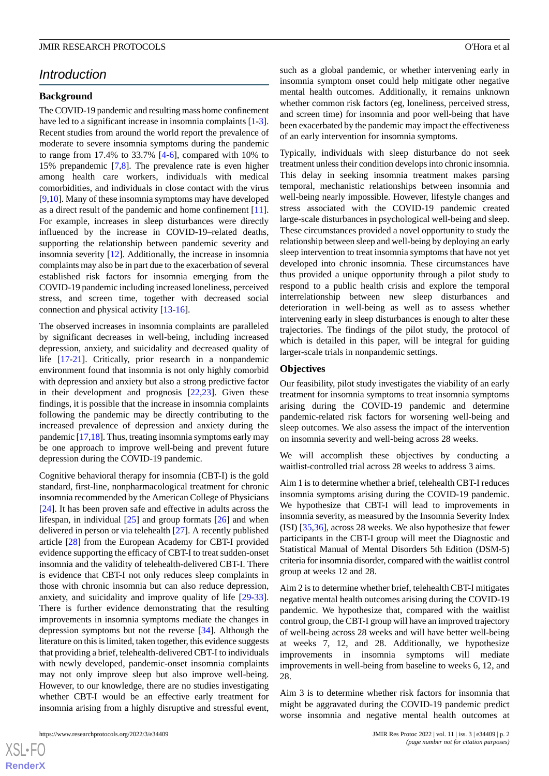## *Introduction*

## **Background**

The COVID-19 pandemic and resulting mass home confinement have led to a significant increase in insomnia complaints [\[1-](#page-10-0)[3\]](#page-10-1). Recent studies from around the world report the prevalence of moderate to severe insomnia symptoms during the pandemic to range from 17.4% to 33.7% [\[4](#page-10-2)-[6\]](#page-10-3), compared with 10% to 15% prepandemic [\[7](#page-11-0),[8\]](#page-11-1). The prevalence rate is even higher among health care workers, individuals with medical comorbidities, and individuals in close contact with the virus [[9](#page-11-2)[,10](#page-11-3)]. Many of these insomnia symptoms may have developed as a direct result of the pandemic and home confinement [[11\]](#page-11-4). For example, increases in sleep disturbances were directly influenced by the increase in COVID-19–related deaths, supporting the relationship between pandemic severity and insomnia severity [[12\]](#page-11-5). Additionally, the increase in insomnia complaints may also be in part due to the exacerbation of several established risk factors for insomnia emerging from the COVID-19 pandemic including increased loneliness, perceived stress, and screen time, together with decreased social connection and physical activity [\[13](#page-11-6)[-16](#page-11-7)].

The observed increases in insomnia complaints are paralleled by significant decreases in well-being, including increased depression, anxiety, and suicidality and decreased quality of life [[17-](#page-11-8)[21\]](#page-11-9). Critically, prior research in a nonpandemic environment found that insomnia is not only highly comorbid with depression and anxiety but also a strong predictive factor in their development and prognosis [[22,](#page-11-10)[23](#page-11-11)]. Given these findings, it is possible that the increase in insomnia complaints following the pandemic may be directly contributing to the increased prevalence of depression and anxiety during the pandemic [\[17](#page-11-8)[,18](#page-11-12)]. Thus, treating insomnia symptoms early may be one approach to improve well-being and prevent future depression during the COVID-19 pandemic.

Cognitive behavioral therapy for insomnia (CBT-I) is the gold standard, first-line, nonpharmacological treatment for chronic insomnia recommended by the American College of Physicians [[24\]](#page-11-13). It has been proven safe and effective in adults across the lifespan, in individual [[25\]](#page-11-14) and group formats [[26\]](#page-11-15) and when delivered in person or via telehealth [\[27](#page-11-16)]. A recently published article [\[28](#page-12-0)] from the European Academy for CBT-I provided evidence supporting the efficacy of CBT-I to treat sudden-onset insomnia and the validity of telehealth-delivered CBT-I. There is evidence that CBT-I not only reduces sleep complaints in those with chronic insomnia but can also reduce depression, anxiety, and suicidality and improve quality of life [\[29](#page-12-1)-[33\]](#page-12-2). There is further evidence demonstrating that the resulting improvements in insomnia symptoms mediate the changes in depression symptoms but not the reverse [\[34](#page-12-3)]. Although the literature on this is limited, taken together, this evidence suggests that providing a brief, telehealth-delivered CBT-I to individuals with newly developed, pandemic-onset insomnia complaints may not only improve sleep but also improve well-being. However, to our knowledge, there are no studies investigating whether CBT-I would be an effective early treatment for insomnia arising from a highly disruptive and stressful event,

such as a global pandemic, or whether intervening early in insomnia symptom onset could help mitigate other negative mental health outcomes. Additionally, it remains unknown whether common risk factors (eg, loneliness, perceived stress, and screen time) for insomnia and poor well-being that have been exacerbated by the pandemic may impact the effectiveness of an early intervention for insomnia symptoms.

Typically, individuals with sleep disturbance do not seek treatment unless their condition develops into chronic insomnia. This delay in seeking insomnia treatment makes parsing temporal, mechanistic relationships between insomnia and well-being nearly impossible. However, lifestyle changes and stress associated with the COVID-19 pandemic created large-scale disturbances in psychological well-being and sleep. These circumstances provided a novel opportunity to study the relationship between sleep and well-being by deploying an early sleep intervention to treat insomnia symptoms that have not yet developed into chronic insomnia. These circumstances have thus provided a unique opportunity through a pilot study to respond to a public health crisis and explore the temporal interrelationship between new sleep disturbances and deterioration in well-being as well as to assess whether intervening early in sleep disturbances is enough to alter these trajectories. The findings of the pilot study, the protocol of which is detailed in this paper, will be integral for guiding larger-scale trials in nonpandemic settings.

#### **Objectives**

Our feasibility, pilot study investigates the viability of an early treatment for insomnia symptoms to treat insomnia symptoms arising during the COVID-19 pandemic and determine pandemic-related risk factors for worsening well-being and sleep outcomes. We also assess the impact of the intervention on insomnia severity and well-being across 28 weeks.

We will accomplish these objectives by conducting a waitlist-controlled trial across 28 weeks to address 3 aims.

Aim 1 is to determine whether a brief, telehealth CBT-I reduces insomnia symptoms arising during the COVID-19 pandemic. We hypothesize that CBT-I will lead to improvements in insomnia severity, as measured by the Insomnia Severity Index (ISI) [\[35](#page-12-4),[36\]](#page-12-5), across 28 weeks. We also hypothesize that fewer participants in the CBT-I group will meet the Diagnostic and Statistical Manual of Mental Disorders 5th Edition (DSM-5) criteria for insomnia disorder, compared with the waitlist control group at weeks 12 and 28.

Aim 2 is to determine whether brief, telehealth CBT-I mitigates negative mental health outcomes arising during the COVID-19 pandemic. We hypothesize that, compared with the waitlist control group, the CBT-I group will have an improved trajectory of well-being across 28 weeks and will have better well-being at weeks 7, 12, and 28. Additionally, we hypothesize improvements in insomnia symptoms will mediate improvements in well-being from baseline to weeks 6, 12, and 28.

Aim 3 is to determine whether risk factors for insomnia that might be aggravated during the COVID-19 pandemic predict worse insomnia and negative mental health outcomes at

 $XS$  $\cdot$ FC **[RenderX](http://www.renderx.com/)**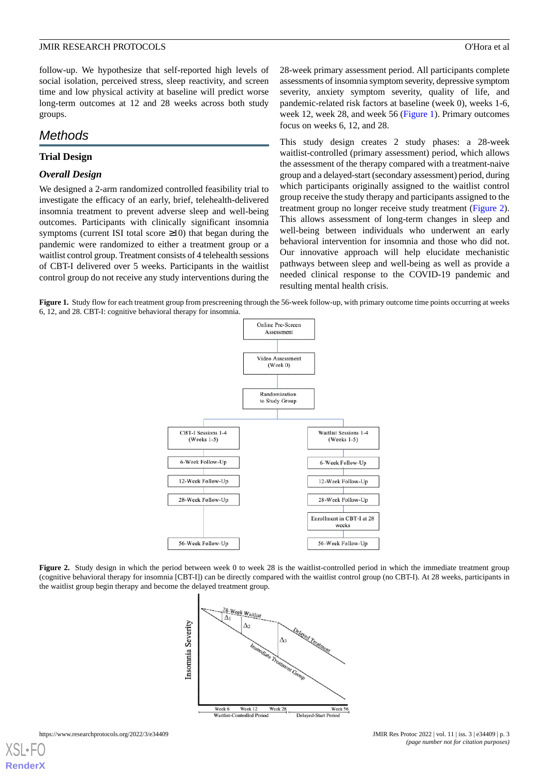follow-up. We hypothesize that self-reported high levels of social isolation, perceived stress, sleep reactivity, and screen time and low physical activity at baseline will predict worse long-term outcomes at 12 and 28 weeks across both study groups.

## *Methods*

#### **Trial Design**

#### *Overall Design*

We designed a 2-arm randomized controlled feasibility trial to investigate the efficacy of an early, brief, telehealth-delivered insomnia treatment to prevent adverse sleep and well-being outcomes. Participants with clinically significant insomnia symptoms (current ISI total score  $\geq$ 10) that began during the pandemic were randomized to either a treatment group or a waitlist control group. Treatment consists of 4 telehealth sessions of CBT-I delivered over 5 weeks. Participants in the waitlist control group do not receive any study interventions during the

28-week primary assessment period. All participants complete assessments of insomnia symptom severity, depressive symptom severity, anxiety symptom severity, quality of life, and pandemic-related risk factors at baseline (week 0), weeks 1-6, week 12, week 28, and week 56 ([Figure 1](#page-2-0)). Primary outcomes focus on weeks 6, 12, and 28.

This study design creates 2 study phases: a 28-week waitlist-controlled (primary assessment) period, which allows the assessment of the therapy compared with a treatment-naive group and a delayed-start (secondary assessment) period, during which participants originally assigned to the waitlist control group receive the study therapy and participants assigned to the treatment group no longer receive study treatment ([Figure 2\)](#page-2-1). This allows assessment of long-term changes in sleep and well-being between individuals who underwent an early behavioral intervention for insomnia and those who did not. Our innovative approach will help elucidate mechanistic pathways between sleep and well-being as well as provide a needed clinical response to the COVID-19 pandemic and resulting mental health crisis.

<span id="page-2-0"></span>Figure 1. Study flow for each treatment group from prescreening through the 56-week follow-up, with primary outcome time points occurring at weeks 6, 12, and 28. CBT-I: cognitive behavioral therapy for insomnia.



<span id="page-2-1"></span>**Figure 2.** Study design in which the period between week 0 to week 28 is the waitlist-controlled period in which the immediate treatment group (cognitive behavioral therapy for insomnia [CBT-I]) can be directly compared with the waitlist control group (no CBT-I). At 28 weeks, participants in the waitlist group begin therapy and become the delayed treatment group.

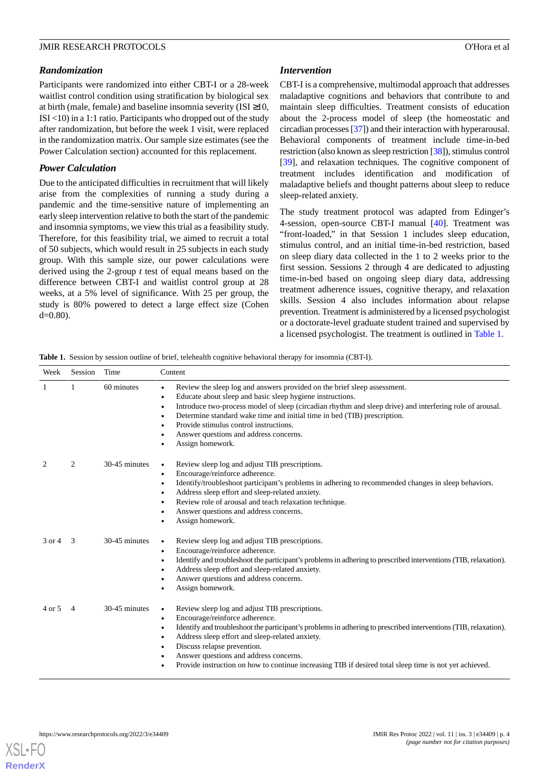## *Randomization*

Participants were randomized into either CBT-I or a 28-week waitlist control condition using stratification by biological sex at birth (male, female) and baseline insomnia severity (ISI  $\geq$ 10, ISI <10) in a 1:1 ratio. Participants who dropped out of the study after randomization, but before the week 1 visit, were replaced in the randomization matrix. Our sample size estimates (see the Power Calculation section) accounted for this replacement.

## *Power Calculation*

Due to the anticipated difficulties in recruitment that will likely arise from the complexities of running a study during a pandemic and the time-sensitive nature of implementing an early sleep intervention relative to both the start of the pandemic and insomnia symptoms, we view this trial as a feasibility study. Therefore, for this feasibility trial, we aimed to recruit a total of 50 subjects, which would result in 25 subjects in each study group. With this sample size, our power calculations were derived using the 2-group *t* test of equal means based on the difference between CBT-I and waitlist control group at 28 weeks, at a 5% level of significance. With 25 per group, the study is 80% powered to detect a large effect size (Cohen  $d=0.80$ ).

## *Intervention*

CBT-I is a comprehensive, multimodal approach that addresses maladaptive cognitions and behaviors that contribute to and maintain sleep difficulties. Treatment consists of education about the 2-process model of sleep (the homeostatic and circadian processes [[37](#page-12-6)]) and their interaction with hyperarousal. Behavioral components of treatment include time-in-bed restriction (also known as sleep restriction [\[38\]](#page-12-7)), stimulus control [[39\]](#page-12-8), and relaxation techniques. The cognitive component of treatment includes identification and modification of maladaptive beliefs and thought patterns about sleep to reduce sleep-related anxiety.

The study treatment protocol was adapted from Edinger's 4-session, open-source CBT-I manual [\[40](#page-12-9)]. Treatment was "front-loaded," in that Session 1 includes sleep education, stimulus control, and an initial time-in-bed restriction, based on sleep diary data collected in the 1 to 2 weeks prior to the first session. Sessions 2 through 4 are dedicated to adjusting time-in-bed based on ongoing sleep diary data, addressing treatment adherence issues, cognitive therapy, and relaxation skills. Session 4 also includes information about relapse prevention. Treatment is administered by a licensed psychologist or a doctorate-level graduate student trained and supervised by a licensed psychologist. The treatment is outlined in [Table 1.](#page-3-0)

<span id="page-3-0"></span>**Table 1.** Session by session outline of brief, telehealth cognitive behavioral therapy for insomnia (CBT-I).

| Week   | Session | Time          | Content                                                                                                                                                                                                                                                                                                                                                                                                                                                                           |
|--------|---------|---------------|-----------------------------------------------------------------------------------------------------------------------------------------------------------------------------------------------------------------------------------------------------------------------------------------------------------------------------------------------------------------------------------------------------------------------------------------------------------------------------------|
|        |         | 60 minutes    | Review the sleep log and answers provided on the brief sleep assessment.<br>$\bullet$<br>Educate about sleep and basic sleep hygiene instructions.<br>$\bullet$<br>Introduce two-process model of sleep (circadian rhythm and sleep drive) and interfering role of arousal.<br>$\bullet$<br>Determine standard wake time and initial time in bed (TIB) prescription.<br>٠<br>Provide stimulus control instructions.<br>Answer questions and address concerns.<br>Assign homework. |
| 2      | 2       | 30-45 minutes | Review sleep log and adjust TIB prescriptions.<br>$\bullet$<br>Encourage/reinforce adherence.<br>٠<br>Identify/troubleshoot participant's problems in adhering to recommended changes in sleep behaviors.<br>$\epsilon$<br>Address sleep effort and sleep-related anxiety.<br>Review role of arousal and teach relaxation technique.<br>Answer questions and address concerns.<br>Assign homework.                                                                                |
| 3 or 4 | 3       | 30-45 minutes | Review sleep log and adjust TIB prescriptions.<br>$\bullet$<br>Encourage/reinforce adherence.<br>$\bullet$<br>Identify and troubleshoot the participant's problems in adhering to prescribed interventions (TIB, relaxation).<br>$\bullet$<br>Address sleep effort and sleep-related anxiety.<br>Answer questions and address concerns.<br>Assign homework.                                                                                                                       |
| 4 or 5 | 4       | 30-45 minutes | Review sleep log and adjust TIB prescriptions.<br>$\bullet$<br>Encourage/reinforce adherence.<br>$\bullet$<br>Identify and troubleshoot the participant's problems in adhering to prescribed interventions (TIB, relaxation).<br>٠<br>Address sleep effort and sleep-related anxiety.<br>٠<br>Discuss relapse prevention.<br>Answer questions and address concerns.<br>Provide instruction on how to continue increasing TIB if desired total sleep time is not yet achieved.     |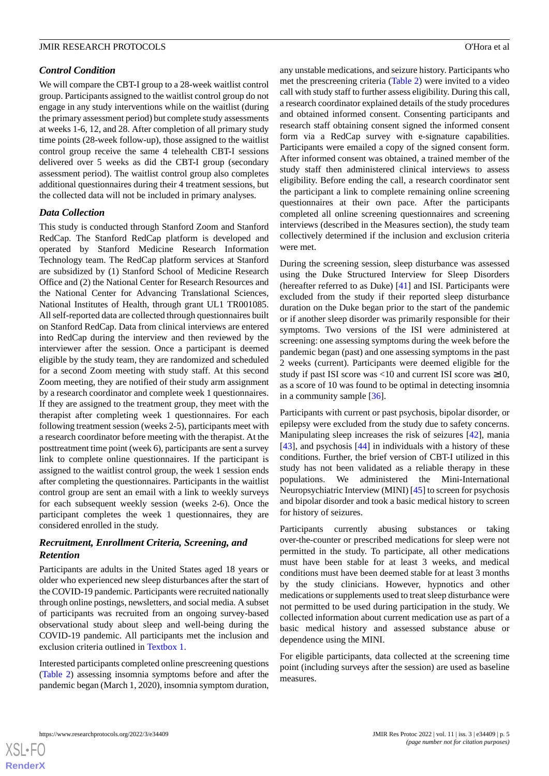#### *Control Condition*

We will compare the CBT-I group to a 28-week waitlist control group. Participants assigned to the waitlist control group do not engage in any study interventions while on the waitlist (during the primary assessment period) but complete study assessments at weeks 1-6, 12, and 28. After completion of all primary study time points (28-week follow-up), those assigned to the waitlist control group receive the same 4 telehealth CBT-I sessions delivered over 5 weeks as did the CBT-I group (secondary assessment period). The waitlist control group also completes additional questionnaires during their 4 treatment sessions, but the collected data will not be included in primary analyses.

#### *Data Collection*

This study is conducted through Stanford Zoom and Stanford RedCap. The Stanford RedCap platform is developed and operated by Stanford Medicine Research Information Technology team. The RedCap platform services at Stanford are subsidized by (1) Stanford School of Medicine Research Office and (2) the National Center for Research Resources and the National Center for Advancing Translational Sciences, National Institutes of Health, through grant UL1 TR001085. All self-reported data are collected through questionnaires built on Stanford RedCap. Data from clinical interviews are entered into RedCap during the interview and then reviewed by the interviewer after the session. Once a participant is deemed eligible by the study team, they are randomized and scheduled for a second Zoom meeting with study staff. At this second Zoom meeting, they are notified of their study arm assignment by a research coordinator and complete week 1 questionnaires. If they are assigned to the treatment group, they meet with the therapist after completing week 1 questionnaires. For each following treatment session (weeks 2-5), participants meet with a research coordinator before meeting with the therapist. At the posttreatment time point (week 6), participants are sent a survey link to complete online questionnaires. If the participant is assigned to the waitlist control group, the week 1 session ends after completing the questionnaires. Participants in the waitlist control group are sent an email with a link to weekly surveys for each subsequent weekly session (weeks 2-6). Once the participant completes the week 1 questionnaires, they are considered enrolled in the study.

## *Recruitment, Enrollment Criteria, Screening, and Retention*

Participants are adults in the United States aged 18 years or older who experienced new sleep disturbances after the start of the COVID-19 pandemic. Participants were recruited nationally through online postings, newsletters, and social media. A subset of participants was recruited from an ongoing survey-based observational study about sleep and well-being during the COVID-19 pandemic. All participants met the inclusion and exclusion criteria outlined in [Textbox 1.](#page-5-0)

Interested participants completed online prescreening questions ([Table 2\)](#page-5-1) assessing insomnia symptoms before and after the pandemic began (March 1, 2020), insomnia symptom duration,

any unstable medications, and seizure history. Participants who met the prescreening criteria ([Table 2](#page-5-1)) were invited to a video call with study staff to further assess eligibility. During this call, a research coordinator explained details of the study procedures and obtained informed consent. Consenting participants and research staff obtaining consent signed the informed consent form via a RedCap survey with e-signature capabilities. Participants were emailed a copy of the signed consent form. After informed consent was obtained, a trained member of the study staff then administered clinical interviews to assess eligibility. Before ending the call, a research coordinator sent the participant a link to complete remaining online screening questionnaires at their own pace. After the participants completed all online screening questionnaires and screening interviews (described in the Measures section), the study team collectively determined if the inclusion and exclusion criteria were met.

During the screening session, sleep disturbance was assessed using the Duke Structured Interview for Sleep Disorders (hereafter referred to as Duke) [\[41](#page-12-10)] and ISI. Participants were excluded from the study if their reported sleep disturbance duration on the Duke began prior to the start of the pandemic or if another sleep disorder was primarily responsible for their symptoms. Two versions of the ISI were administered at screening: one assessing symptoms during the week before the pandemic began (past) and one assessing symptoms in the past 2 weeks (current). Participants were deemed eligible for the study if past ISI score was <10 and current ISI score was  $\geq 10$ , as a score of 10 was found to be optimal in detecting insomnia in a community sample [\[36](#page-12-5)].

Participants with current or past psychosis, bipolar disorder, or epilepsy were excluded from the study due to safety concerns. Manipulating sleep increases the risk of seizures [\[42](#page-12-11)], mania [[43\]](#page-12-12), and psychosis [\[44](#page-12-13)] in individuals with a history of these conditions. Further, the brief version of CBT-I utilized in this study has not been validated as a reliable therapy in these populations. We administered the Mini-International Neuropsychiatric Interview (MINI) [\[45](#page-12-14)] to screen for psychosis and bipolar disorder and took a basic medical history to screen for history of seizures.

Participants currently abusing substances or taking over-the-counter or prescribed medications for sleep were not permitted in the study. To participate, all other medications must have been stable for at least 3 weeks, and medical conditions must have been deemed stable for at least 3 months by the study clinicians. However, hypnotics and other medications or supplements used to treat sleep disturbance were not permitted to be used during participation in the study. We collected information about current medication use as part of a basic medical history and assessed substance abuse or dependence using the MINI.

For eligible participants, data collected at the screening time point (including surveys after the session) are used as baseline measures.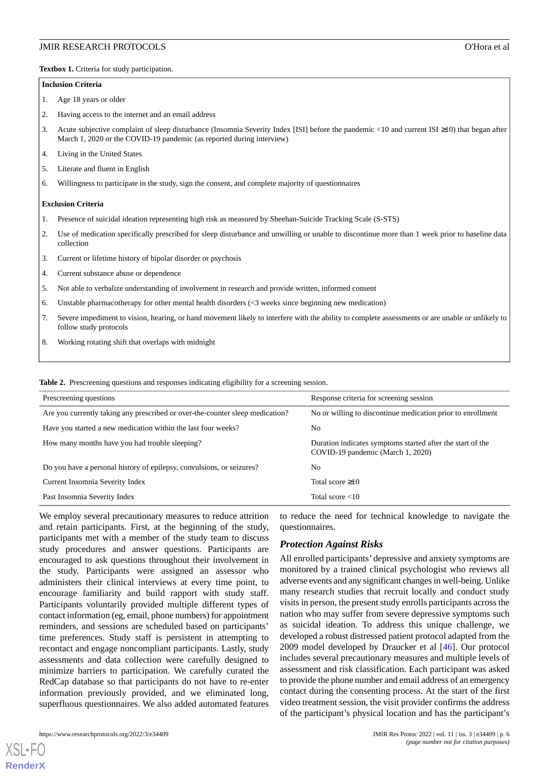<span id="page-5-0"></span>**Textbox 1.** Criteria for study participation.

#### **Inclusion Criteria**

1. Age 18 years or older

- 2. Having access to the internet and an email address
- 3. Acute subjective complaint of sleep disturbance (Insomnia Severity Index [ISI] before the pandemic <10 and current ISI ≥10) that began after March 1, 2020 or the COVID-19 pandemic (as reported during interview)
- 4. Living in the United States
- 5. Literate and fluent in English
- 6. Willingness to participate in the study, sign the consent, and complete majority of questionnaires

#### **Exclusion Criteria**

- 1. Presence of suicidal ideation representing high risk as measured by Sheehan-Suicide Tracking Scale (S-STS)
- 2. Use of medication specifically prescribed for sleep disturbance and unwilling or unable to discontinue more than 1 week prior to baseline data collection
- 3. Current or lifetime history of bipolar disorder or psychosis
- 4. Current substance abuse or dependence
- 5. Not able to verbalize understanding of involvement in research and provide written, informed consent
- 6. Unstable pharmacotherapy for other mental health disorders (<3 weeks since beginning new medication)
- 7. Severe impediment to vision, hearing, or hand movement likely to interfere with the ability to complete assessments or are unable or unlikely to follow study protocols
- <span id="page-5-1"></span>8. Working rotating shift that overlaps with midnight

**Table 2.** Prescreening questions and responses indicating eligibility for a screening session.

| Prescreening questions                                                        | Response criteria for screening session                                                         |
|-------------------------------------------------------------------------------|-------------------------------------------------------------------------------------------------|
| Are you currently taking any prescribed or over-the-counter sleep medication? | No or willing to discontinue medication prior to enrollment                                     |
| Have you started a new medication within the last four weeks?                 | No                                                                                              |
| How many months have you had trouble sleeping?                                | Duration indicates symptoms started after the start of the<br>COVID-19 pandemic (March 1, 2020) |
| Do you have a personal history of epilepsy, convulsions, or seizures?         | N <sub>0</sub>                                                                                  |
| Current Insomnia Severity Index                                               | Total score $\geq 10$                                                                           |
| Past Insomnia Severity Index                                                  | Total score $<10$                                                                               |

We employ several precautionary measures to reduce attrition and retain participants. First, at the beginning of the study, participants met with a member of the study team to discuss study procedures and answer questions. Participants are encouraged to ask questions throughout their involvement in the study. Participants were assigned an assessor who administers their clinical interviews at every time point, to encourage familiarity and build rapport with study staff. Participants voluntarily provided multiple different types of contact information (eg, email, phone numbers) for appointment reminders, and sessions are scheduled based on participants' time preferences. Study staff is persistent in attempting to recontact and engage noncompliant participants. Lastly, study assessments and data collection were carefully designed to minimize barriers to participation. We carefully curated the RedCap database so that participants do not have to re-enter information previously provided, and we eliminated long, superfluous questionnaires. We also added automated features

to reduce the need for technical knowledge to navigate the questionnaires.

#### *Protection Against Risks*

All enrolled participants' depressive and anxiety symptoms are monitored by a trained clinical psychologist who reviews all adverse events and any significant changes in well-being. Unlike many research studies that recruit locally and conduct study visits in person, the present study enrolls participants across the nation who may suffer from severe depressive symptoms such as suicidal ideation. To address this unique challenge, we developed a robust distressed patient protocol adapted from the 2009 model developed by Draucker et al [\[46](#page-12-15)]. Our protocol includes several precautionary measures and multiple levels of assessment and risk classification. Each participant was asked to provide the phone number and email address of an emergency contact during the consenting process. At the start of the first video treatment session, the visit provider confirms the address of the participant's physical location and has the participant's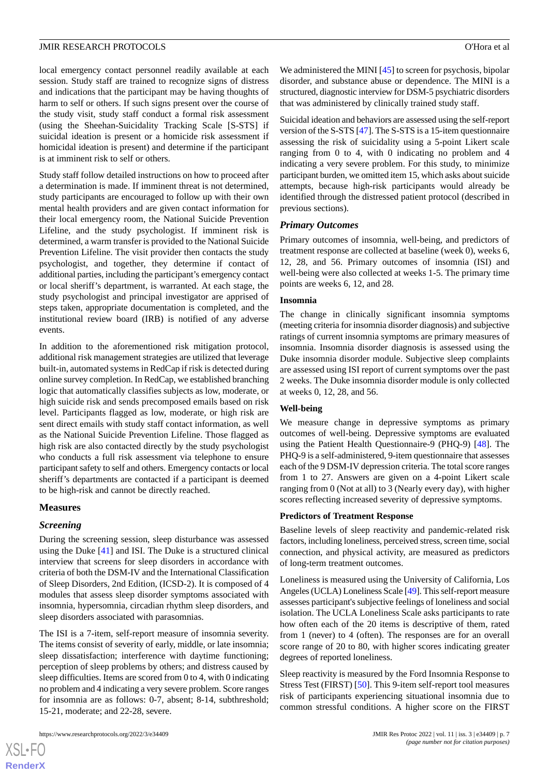local emergency contact personnel readily available at each session. Study staff are trained to recognize signs of distress and indications that the participant may be having thoughts of harm to self or others. If such signs present over the course of the study visit, study staff conduct a formal risk assessment (using the Sheehan-Suicidality Tracking Scale [S-STS] if suicidal ideation is present or a homicide risk assessment if homicidal ideation is present) and determine if the participant is at imminent risk to self or others.

Study staff follow detailed instructions on how to proceed after a determination is made. If imminent threat is not determined, study participants are encouraged to follow up with their own mental health providers and are given contact information for their local emergency room, the National Suicide Prevention Lifeline, and the study psychologist. If imminent risk is determined, a warm transfer is provided to the National Suicide Prevention Lifeline. The visit provider then contacts the study psychologist, and together, they determine if contact of additional parties, including the participant's emergency contact or local sheriff's department, is warranted. At each stage, the study psychologist and principal investigator are apprised of steps taken, appropriate documentation is completed, and the institutional review board (IRB) is notified of any adverse events.

In addition to the aforementioned risk mitigation protocol, additional risk management strategies are utilized that leverage built-in, automated systems in RedCap if risk is detected during online survey completion. In RedCap, we established branching logic that automatically classifies subjects as low, moderate, or high suicide risk and sends precomposed emails based on risk level. Participants flagged as low, moderate, or high risk are sent direct emails with study staff contact information, as well as the National Suicide Prevention Lifeline. Those flagged as high risk are also contacted directly by the study psychologist who conducts a full risk assessment via telephone to ensure participant safety to self and others. Emergency contacts or local sheriff's departments are contacted if a participant is deemed to be high-risk and cannot be directly reached.

#### **Measures**

#### *Screening*

During the screening session, sleep disturbance was assessed using the Duke [[41\]](#page-12-10) and ISI. The Duke is a structured clinical interview that screens for sleep disorders in accordance with criteria of both the DSM-IV and the International Classification of Sleep Disorders, 2nd Edition, (ICSD-2). It is composed of 4 modules that assess sleep disorder symptoms associated with insomnia, hypersomnia, circadian rhythm sleep disorders, and sleep disorders associated with parasomnias.

The ISI is a 7-item, self-report measure of insomnia severity. The items consist of severity of early, middle, or late insomnia; sleep dissatisfaction; interference with daytime functioning; perception of sleep problems by others; and distress caused by sleep difficulties. Items are scored from 0 to 4, with 0 indicating no problem and 4 indicating a very severe problem. Score ranges for insomnia are as follows: 0-7, absent; 8-14, subthreshold; 15-21, moderate; and 22-28, severe.

 $XS$  $\cdot$ FC **[RenderX](http://www.renderx.com/)** We administered the MINI [[45\]](#page-12-14) to screen for psychosis, bipolar disorder, and substance abuse or dependence. The MINI is a structured, diagnostic interview for DSM-5 psychiatric disorders that was administered by clinically trained study staff.

Suicidal ideation and behaviors are assessed using the self-report version of the S-STS [[47\]](#page-12-16). The S-STS is a 15-item questionnaire assessing the risk of suicidality using a 5-point Likert scale ranging from 0 to 4, with 0 indicating no problem and 4 indicating a very severe problem. For this study, to minimize participant burden, we omitted item 15, which asks about suicide attempts, because high-risk participants would already be identified through the distressed patient protocol (described in previous sections).

#### *Primary Outcomes*

Primary outcomes of insomnia, well-being, and predictors of treatment response are collected at baseline (week 0), weeks 6, 12, 28, and 56. Primary outcomes of insomnia (ISI) and well-being were also collected at weeks 1-5. The primary time points are weeks 6, 12, and 28.

#### **Insomnia**

The change in clinically significant insomnia symptoms (meeting criteria for insomnia disorder diagnosis) and subjective ratings of current insomnia symptoms are primary measures of insomnia. Insomnia disorder diagnosis is assessed using the Duke insomnia disorder module. Subjective sleep complaints are assessed using ISI report of current symptoms over the past 2 weeks. The Duke insomnia disorder module is only collected at weeks 0, 12, 28, and 56.

#### **Well-being**

We measure change in depressive symptoms as primary outcomes of well-being. Depressive symptoms are evaluated using the Patient Health Questionnaire-9 (PHQ-9) [[48\]](#page-12-17). The PHQ-9 is a self-administered, 9-item questionnaire that assesses each of the 9 DSM-IV depression criteria. The total score ranges from 1 to 27. Answers are given on a 4-point Likert scale ranging from 0 (Not at all) to 3 (Nearly every day), with higher scores reflecting increased severity of depressive symptoms.

#### **Predictors of Treatment Response**

Baseline levels of sleep reactivity and pandemic-related risk factors, including loneliness, perceived stress, screen time, social connection, and physical activity, are measured as predictors of long-term treatment outcomes.

Loneliness is measured using the University of California, Los Angeles (UCLA) Loneliness Scale [\[49\]](#page-12-18). This self-report measure assesses participant's subjective feelings of loneliness and social isolation. The UCLA Loneliness Scale asks participants to rate how often each of the 20 items is descriptive of them, rated from 1 (never) to 4 (often). The responses are for an overall score range of 20 to 80, with higher scores indicating greater degrees of reported loneliness.

Sleep reactivity is measured by the Ford Insomnia Response to Stress Test (FIRST) [[50\]](#page-12-19). This 9-item self-report tool measures risk of participants experiencing situational insomnia due to common stressful conditions. A higher score on the FIRST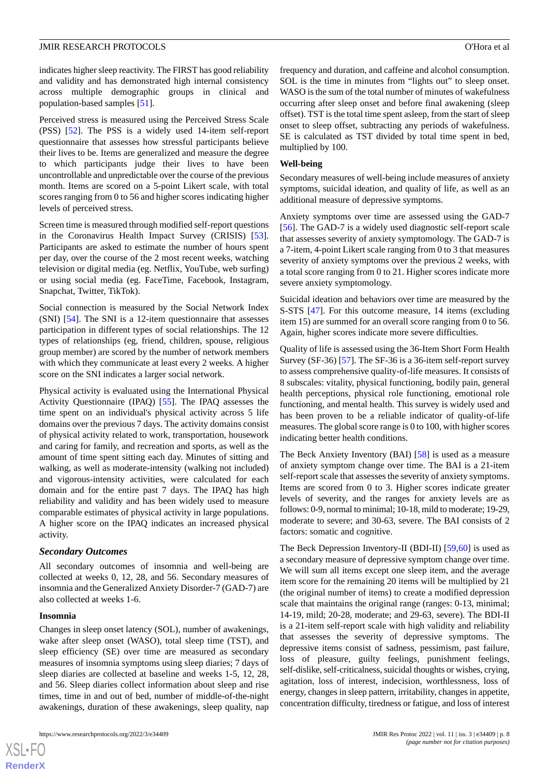indicates higher sleep reactivity. The FIRST has good reliability and validity and has demonstrated high internal consistency across multiple demographic groups in clinical and population-based samples [[51\]](#page-12-20).

Perceived stress is measured using the Perceived Stress Scale (PSS) [\[52](#page-12-21)]. The PSS is a widely used 14-item self-report questionnaire that assesses how stressful participants believe their lives to be. Items are generalized and measure the degree to which participants judge their lives to have been uncontrollable and unpredictable over the course of the previous month. Items are scored on a 5-point Likert scale, with total scores ranging from 0 to 56 and higher scores indicating higher levels of perceived stress.

Screen time is measured through modified self-report questions in the Coronavirus Health Impact Survey (CRISIS) [[53\]](#page-12-22). Participants are asked to estimate the number of hours spent per day, over the course of the 2 most recent weeks, watching television or digital media (eg. Netflix, YouTube, web surfing) or using social media (eg. FaceTime, Facebook, Instagram, Snapchat, Twitter, TikTok).

Social connection is measured by the Social Network Index (SNI) [\[54](#page-13-0)]. The SNI is a 12-item questionnaire that assesses participation in different types of social relationships. The 12 types of relationships (eg, friend, children, spouse, religious group member) are scored by the number of network members with which they communicate at least every 2 weeks. A higher score on the SNI indicates a larger social network.

Physical activity is evaluated using the International Physical Activity Questionnaire (IPAQ) [\[55](#page-13-1)]. The IPAQ assesses the time spent on an individual's physical activity across 5 life domains over the previous 7 days. The activity domains consist of physical activity related to work, transportation, housework and caring for family, and recreation and sports, as well as the amount of time spent sitting each day. Minutes of sitting and walking, as well as moderate-intensity (walking not included) and vigorous-intensity activities, were calculated for each domain and for the entire past 7 days. The IPAQ has high reliability and validity and has been widely used to measure comparable estimates of physical activity in large populations. A higher score on the IPAQ indicates an increased physical activity.

#### *Secondary Outcomes*

All secondary outcomes of insomnia and well-being are collected at weeks 0, 12, 28, and 56. Secondary measures of insomnia and the Generalized Anxiety Disorder-7 (GAD-7) are also collected at weeks 1-6.

#### **Insomnia**

 $XSI - F($ **[RenderX](http://www.renderx.com/)**

Changes in sleep onset latency (SOL), number of awakenings, wake after sleep onset (WASO), total sleep time (TST), and sleep efficiency (SE) over time are measured as secondary measures of insomnia symptoms using sleep diaries; 7 days of sleep diaries are collected at baseline and weeks 1-5, 12, 28, and 56. Sleep diaries collect information about sleep and rise times, time in and out of bed, number of middle-of-the-night awakenings, duration of these awakenings, sleep quality, nap

https://www.researchprotocols.org/2022/3/e34409 JMIR Res Protoc 2022 | vol. 11 | iss. 3 | e34409 | p. 8

frequency and duration, and caffeine and alcohol consumption. SOL is the time in minutes from "lights out" to sleep onset. WASO is the sum of the total number of minutes of wakefulness occurring after sleep onset and before final awakening (sleep offset). TST is the total time spent asleep, from the start of sleep onset to sleep offset, subtracting any periods of wakefulness. SE is calculated as TST divided by total time spent in bed, multiplied by 100.

#### **Well-being**

Secondary measures of well-being include measures of anxiety symptoms, suicidal ideation, and quality of life, as well as an additional measure of depressive symptoms.

Anxiety symptoms over time are assessed using the GAD-7 [[56\]](#page-13-2). The GAD-7 is a widely used diagnostic self-report scale that assesses severity of anxiety symptomology. The GAD-7 is a 7-item, 4-point Likert scale ranging from 0 to 3 that measures severity of anxiety symptoms over the previous 2 weeks, with a total score ranging from 0 to 21. Higher scores indicate more severe anxiety symptomology.

Suicidal ideation and behaviors over time are measured by the S-STS [[47\]](#page-12-16). For this outcome measure, 14 items (excluding item 15) are summed for an overall score ranging from 0 to 56. Again, higher scores indicate more severe difficulties.

Quality of life is assessed using the 36-Item Short Form Health Survey (SF-36) [[57\]](#page-13-3). The SF-36 is a 36-item self-report survey to assess comprehensive quality-of-life measures. It consists of 8 subscales: vitality, physical functioning, bodily pain, general health perceptions, physical role functioning, emotional role functioning, and mental health. This survey is widely used and has been proven to be a reliable indicator of quality-of-life measures. The global score range is 0 to 100, with higher scores indicating better health conditions.

The Beck Anxiety Inventory (BAI) [[58\]](#page-13-4) is used as a measure of anxiety symptom change over time. The BAI is a 21-item self-report scale that assesses the severity of anxiety symptoms. Items are scored from 0 to 3. Higher scores indicate greater levels of severity, and the ranges for anxiety levels are as follows: 0-9, normal to minimal; 10-18, mild to moderate; 19-29, moderate to severe; and 30-63, severe. The BAI consists of 2 factors: somatic and cognitive.

The Beck Depression Inventory-II (BDI-II) [[59](#page-13-5)[,60](#page-13-6)] is used as a secondary measure of depressive symptom change over time. We will sum all items except one sleep item, and the average item score for the remaining 20 items will be multiplied by 21 (the original number of items) to create a modified depression scale that maintains the original range (ranges: 0-13, minimal; 14-19, mild; 20-28, moderate; and 29-63, severe). The BDI-II is a 21-item self-report scale with high validity and reliability that assesses the severity of depressive symptoms. The depressive items consist of sadness, pessimism, past failure, loss of pleasure, guilty feelings, punishment feelings, self-dislike, self-criticalness, suicidal thoughts or wishes, crying, agitation, loss of interest, indecision, worthlessness, loss of energy, changes in sleep pattern, irritability, changes in appetite, concentration difficulty, tiredness or fatigue, and loss of interest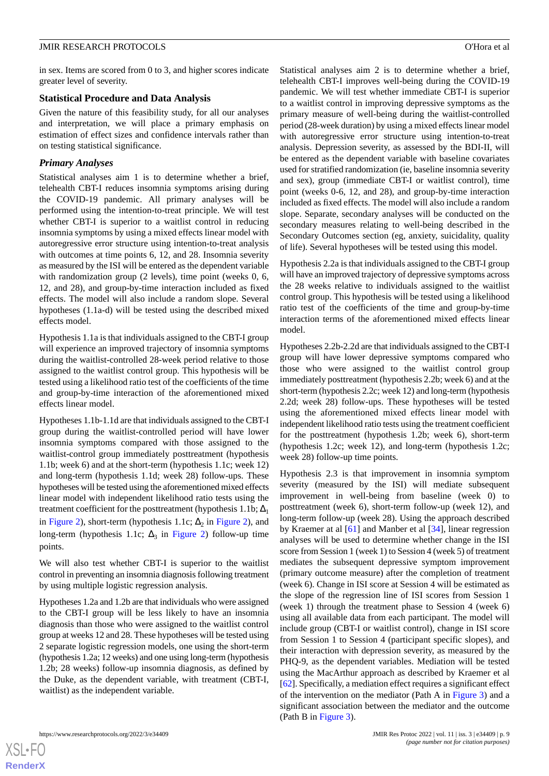in sex. Items are scored from 0 to 3, and higher scores indicate greater level of severity.

#### **Statistical Procedure and Data Analysis**

Given the nature of this feasibility study, for all our analyses and interpretation, we will place a primary emphasis on estimation of effect sizes and confidence intervals rather than on testing statistical significance.

## *Primary Analyses*

Statistical analyses aim 1 is to determine whether a brief, telehealth CBT-I reduces insomnia symptoms arising during the COVID-19 pandemic. All primary analyses will be performed using the intention-to-treat principle. We will test whether CBT-I is superior to a waitlist control in reducing insomnia symptoms by using a mixed effects linear model with autoregressive error structure using intention-to-treat analysis with outcomes at time points 6, 12, and 28. Insomnia severity as measured by the ISI will be entered as the dependent variable with randomization group (2 levels), time point (weeks 0, 6, 12, and 28), and group-by-time interaction included as fixed effects. The model will also include a random slope. Several hypotheses (1.1a-d) will be tested using the described mixed effects model.

Hypothesis 1.1a is that individuals assigned to the CBT-I group will experience an improved trajectory of insomnia symptoms during the waitlist-controlled 28-week period relative to those assigned to the waitlist control group. This hypothesis will be tested using a likelihood ratio test of the coefficients of the time and group-by-time interaction of the aforementioned mixed effects linear model.

Hypotheses 1.1b-1.1d are that individuals assigned to the CBT-I group during the waitlist-controlled period will have lower insomnia symptoms compared with those assigned to the waitlist-control group immediately posttreatment (hypothesis 1.1b; week 6) and at the short-term (hypothesis 1.1c; week 12) and long-term (hypothesis 1.1d; week 28) follow-ups. These hypotheses will be tested using the aforementioned mixed effects linear model with independent likelihood ratio tests using the treatment coefficient for the posttreatment (hypothesis 1.1b;  $\Delta_1$ ) in [Figure 2](#page-2-1)), short-term (hypothesis 1.1c;  $\Delta_2$  in Figure 2), and long-term (hypothesis 1.1c;  $\Delta_3$  in [Figure 2\)](#page-2-1) follow-up time points.

We will also test whether CBT-I is superior to the waitlist control in preventing an insomnia diagnosis following treatment by using multiple logistic regression analysis.

Hypotheses 1.2a and 1.2b are that individuals who were assigned to the CBT-I group will be less likely to have an insomnia diagnosis than those who were assigned to the waitlist control group at weeks 12 and 28. These hypotheses will be tested using 2 separate logistic regression models, one using the short-term (hypothesis 1.2a; 12 weeks) and one using long-term (hypothesis 1.2b; 28 weeks) follow-up insomnia diagnosis, as defined by the Duke, as the dependent variable, with treatment (CBT-I, waitlist) as the independent variable.

Statistical analyses aim 2 is to determine whether a brief, telehealth CBT-I improves well-being during the COVID-19 pandemic. We will test whether immediate CBT-I is superior to a waitlist control in improving depressive symptoms as the primary measure of well-being during the waitlist-controlled period (28-week duration) by using a mixed effects linear model with autoregressive error structure using intention-to-treat analysis. Depression severity, as assessed by the BDI-II, will be entered as the dependent variable with baseline covariates used for stratified randomization (ie, baseline insomnia severity and sex), group (immediate CBT-I or waitlist control), time point (weeks 0-6, 12, and 28), and group-by-time interaction included as fixed effects. The model will also include a random slope. Separate, secondary analyses will be conducted on the secondary measures relating to well-being described in the Secondary Outcomes section (eg, anxiety, suicidality, quality of life). Several hypotheses will be tested using this model.

Hypothesis 2.2a is that individuals assigned to the CBT-I group will have an improved trajectory of depressive symptoms across the 28 weeks relative to individuals assigned to the waitlist control group. This hypothesis will be tested using a likelihood ratio test of the coefficients of the time and group-by-time interaction terms of the aforementioned mixed effects linear model.

Hypotheses 2.2b-2.2d are that individuals assigned to the CBT-I group will have lower depressive symptoms compared who those who were assigned to the waitlist control group immediately posttreatment (hypothesis 2.2b; week 6) and at the short-term (hypothesis 2.2c; week 12) and long-term (hypothesis 2.2d; week 28) follow-ups. These hypotheses will be tested using the aforementioned mixed effects linear model with independent likelihood ratio tests using the treatment coefficient for the posttreatment (hypothesis 1.2b; week 6), short-term (hypothesis 1.2c; week 12), and long-term (hypothesis 1.2c; week 28) follow-up time points.

Hypothesis 2.3 is that improvement in insomnia symptom severity (measured by the ISI) will mediate subsequent improvement in well-being from baseline (week 0) to posttreatment (week 6), short-term follow-up (week 12), and long-term follow-up (week 28). Using the approach described by Kraemer at al [\[61](#page-13-7)] and Manber et al [[34\]](#page-12-3), linear regression analyses will be used to determine whether change in the ISI score from Session 1 (week 1) to Session 4 (week 5) of treatment mediates the subsequent depressive symptom improvement (primary outcome measure) after the completion of treatment (week 6). Change in ISI score at Session 4 will be estimated as the slope of the regression line of ISI scores from Session 1 (week 1) through the treatment phase to Session 4 (week 6) using all available data from each participant. The model will include group (CBT-I or waitlist control), change in ISI score from Session 1 to Session 4 (participant specific slopes), and their interaction with depression severity, as measured by the PHQ-9, as the dependent variables. Mediation will be tested using the MacArthur approach as described by Kraemer et al [[62\]](#page-13-8). Specifically, a mediation effect requires a significant effect of the intervention on the mediator (Path A in [Figure 3\)](#page-9-0) and a significant association between the mediator and the outcome (Path B in [Figure 3](#page-9-0)).

 $XS$  • FC **[RenderX](http://www.renderx.com/)**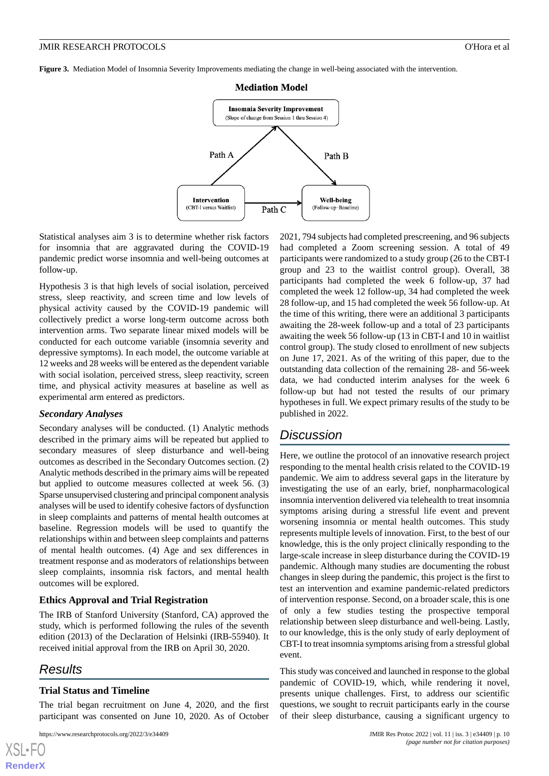<span id="page-9-0"></span>**Figure 3.** Mediation Model of Insomnia Severity Improvements mediating the change in well-being associated with the intervention.



Statistical analyses aim 3 is to determine whether risk factors for insomnia that are aggravated during the COVID-19 pandemic predict worse insomnia and well-being outcomes at follow-up.

Hypothesis 3 is that high levels of social isolation, perceived stress, sleep reactivity, and screen time and low levels of physical activity caused by the COVID-19 pandemic will collectively predict a worse long-term outcome across both intervention arms. Two separate linear mixed models will be conducted for each outcome variable (insomnia severity and depressive symptoms). In each model, the outcome variable at 12 weeks and 28 weeks will be entered as the dependent variable with social isolation, perceived stress, sleep reactivity, screen time, and physical activity measures at baseline as well as experimental arm entered as predictors.

#### *Secondary Analyses*

Secondary analyses will be conducted. (1) Analytic methods described in the primary aims will be repeated but applied to secondary measures of sleep disturbance and well-being outcomes as described in the Secondary Outcomes section. (2) Analytic methods described in the primary aims will be repeated but applied to outcome measures collected at week 56. (3) Sparse unsupervised clustering and principal component analysis analyses will be used to identify cohesive factors of dysfunction in sleep complaints and patterns of mental health outcomes at baseline. Regression models will be used to quantify the relationships within and between sleep complaints and patterns of mental health outcomes. (4) Age and sex differences in treatment response and as moderators of relationships between sleep complaints, insomnia risk factors, and mental health outcomes will be explored.

#### **Ethics Approval and Trial Registration**

The IRB of Stanford University (Stanford, CA) approved the study, which is performed following the rules of the seventh edition (2013) of the Declaration of Helsinki (IRB-55940). It received initial approval from the IRB on April 30, 2020.

## *Results*

[XSL](http://www.w3.org/Style/XSL)•FO **[RenderX](http://www.renderx.com/)**

#### **Trial Status and Timeline**

The trial began recruitment on June 4, 2020, and the first participant was consented on June 10, 2020. As of October

2021, 794 subjects had completed prescreening, and 96 subjects had completed a Zoom screening session. A total of 49 participants were randomized to a study group (26 to the CBT-I group and 23 to the waitlist control group). Overall, 38 participants had completed the week 6 follow-up, 37 had completed the week 12 follow-up, 34 had completed the week 28 follow-up, and 15 had completed the week 56 follow-up. At the time of this writing, there were an additional 3 participants awaiting the 28-week follow-up and a total of 23 participants awaiting the week 56 follow-up (13 in CBT-I and 10 in waitlist control group). The study closed to enrollment of new subjects on June 17, 2021. As of the writing of this paper, due to the outstanding data collection of the remaining 28- and 56-week data, we had conducted interim analyses for the week 6 follow-up but had not tested the results of our primary hypotheses in full. We expect primary results of the study to be published in 2022.

## *Discussion*

Here, we outline the protocol of an innovative research project responding to the mental health crisis related to the COVID-19 pandemic. We aim to address several gaps in the literature by investigating the use of an early, brief, nonpharmacological insomnia intervention delivered via telehealth to treat insomnia symptoms arising during a stressful life event and prevent worsening insomnia or mental health outcomes. This study represents multiple levels of innovation. First, to the best of our knowledge, this is the only project clinically responding to the large-scale increase in sleep disturbance during the COVID-19 pandemic. Although many studies are documenting the robust changes in sleep during the pandemic, this project is the first to test an intervention and examine pandemic-related predictors of intervention response. Second, on a broader scale, this is one of only a few studies testing the prospective temporal relationship between sleep disturbance and well-being. Lastly, to our knowledge, this is the only study of early deployment of CBT-I to treat insomnia symptoms arising from a stressful global event.

This study was conceived and launched in response to the global pandemic of COVID-19, which, while rendering it novel, presents unique challenges. First, to address our scientific questions, we sought to recruit participants early in the course of their sleep disturbance, causing a significant urgency to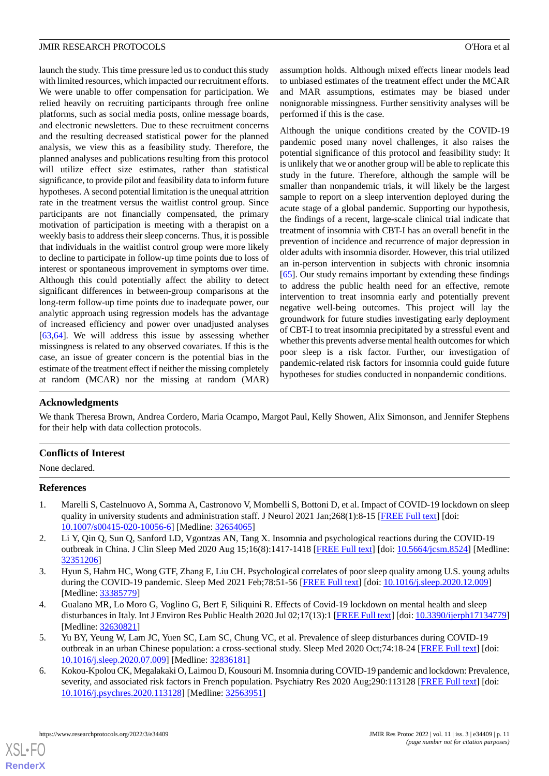launch the study. This time pressure led us to conduct this study with limited resources, which impacted our recruitment efforts. We were unable to offer compensation for participation. We relied heavily on recruiting participants through free online platforms, such as social media posts, online message boards, and electronic newsletters. Due to these recruitment concerns and the resulting decreased statistical power for the planned analysis, we view this as a feasibility study. Therefore, the planned analyses and publications resulting from this protocol will utilize effect size estimates, rather than statistical significance, to provide pilot and feasibility data to inform future hypotheses. A second potential limitation is the unequal attrition rate in the treatment versus the waitlist control group. Since participants are not financially compensated, the primary motivation of participation is meeting with a therapist on a weekly basis to address their sleep concerns. Thus, it is possible that individuals in the waitlist control group were more likely to decline to participate in follow-up time points due to loss of interest or spontaneous improvement in symptoms over time. Although this could potentially affect the ability to detect significant differences in between-group comparisons at the long-term follow-up time points due to inadequate power, our analytic approach using regression models has the advantage of increased efficiency and power over unadjusted analyses [[63](#page-13-9)[,64](#page-13-10)]. We will address this issue by assessing whether missingness is related to any observed covariates. If this is the case, an issue of greater concern is the potential bias in the estimate of the treatment effect if neither the missing completely at random (MCAR) nor the missing at random (MAR)

assumption holds. Although mixed effects linear models lead to unbiased estimates of the treatment effect under the MCAR and MAR assumptions, estimates may be biased under nonignorable missingness. Further sensitivity analyses will be performed if this is the case.

Although the unique conditions created by the COVID-19 pandemic posed many novel challenges, it also raises the potential significance of this protocol and feasibility study: It is unlikely that we or another group will be able to replicate this study in the future. Therefore, although the sample will be smaller than nonpandemic trials, it will likely be the largest sample to report on a sleep intervention deployed during the acute stage of a global pandemic. Supporting our hypothesis, the findings of a recent, large-scale clinical trial indicate that treatment of insomnia with CBT-I has an overall benefit in the prevention of incidence and recurrence of major depression in older adults with insomnia disorder. However, this trial utilized an in-person intervention in subjects with chronic insomnia [[65\]](#page-13-11). Our study remains important by extending these findings to address the public health need for an effective, remote intervention to treat insomnia early and potentially prevent negative well-being outcomes. This project will lay the groundwork for future studies investigating early deployment of CBT-I to treat insomnia precipitated by a stressful event and whether this prevents adverse mental health outcomes for which poor sleep is a risk factor. Further, our investigation of pandemic-related risk factors for insomnia could guide future hypotheses for studies conducted in nonpandemic conditions.

## **Acknowledgments**

We thank Theresa Brown, Andrea Cordero, Maria Ocampo, Margot Paul, Kelly Showen, Alix Simonson, and Jennifer Stephens for their help with data collection protocols.

## <span id="page-10-0"></span>**Conflicts of Interest**

None declared.

#### **References**

- <span id="page-10-1"></span>1. Marelli S, Castelnuovo A, Somma A, Castronovo V, Mombelli S, Bottoni D, et al. Impact of COVID-19 lockdown on sleep quality in university students and administration staff. J Neurol 2021 Jan;268(1):8-15 [\[FREE Full text\]](http://europepmc.org/abstract/MED/32654065) [doi: [10.1007/s00415-020-10056-6\]](http://dx.doi.org/10.1007/s00415-020-10056-6) [Medline: [32654065\]](http://www.ncbi.nlm.nih.gov/entrez/query.fcgi?cmd=Retrieve&db=PubMed&list_uids=32654065&dopt=Abstract)
- <span id="page-10-2"></span>2. Li Y, Qin Q, Sun Q, Sanford LD, Vgontzas AN, Tang X. Insomnia and psychological reactions during the COVID-19 outbreak in China. J Clin Sleep Med 2020 Aug 15;16(8):1417-1418 [\[FREE Full text\]](https://doi.org/10.5664/jcsm.8524) [doi: [10.5664/jcsm.8524\]](http://dx.doi.org/10.5664/jcsm.8524) [Medline: [32351206](http://www.ncbi.nlm.nih.gov/entrez/query.fcgi?cmd=Retrieve&db=PubMed&list_uids=32351206&dopt=Abstract)]
- 3. Hyun S, Hahm HC, Wong GTF, Zhang E, Liu CH. Psychological correlates of poor sleep quality among U.S. young adults during the COVID-19 pandemic. Sleep Med 2021 Feb;78:51-56 [\[FREE Full text\]](http://europepmc.org/abstract/MED/33385779) [doi: [10.1016/j.sleep.2020.12.009\]](http://dx.doi.org/10.1016/j.sleep.2020.12.009) [Medline: [33385779](http://www.ncbi.nlm.nih.gov/entrez/query.fcgi?cmd=Retrieve&db=PubMed&list_uids=33385779&dopt=Abstract)]
- <span id="page-10-3"></span>4. Gualano MR, Lo Moro G, Voglino G, Bert F, Siliquini R. Effects of Covid-19 lockdown on mental health and sleep disturbances in Italy. Int J Environ Res Public Health 2020 Jul 02;17(13):1 [\[FREE Full text](https://www.mdpi.com/resolver?pii=ijerph17134779)] [doi: [10.3390/ijerph17134779](http://dx.doi.org/10.3390/ijerph17134779)] [Medline: [32630821](http://www.ncbi.nlm.nih.gov/entrez/query.fcgi?cmd=Retrieve&db=PubMed&list_uids=32630821&dopt=Abstract)]
- 5. Yu BY, Yeung W, Lam JC, Yuen SC, Lam SC, Chung VC, et al. Prevalence of sleep disturbances during COVID-19 outbreak in an urban Chinese population: a cross-sectional study. Sleep Med 2020 Oct;74:18-24 [\[FREE Full text\]](http://europepmc.org/abstract/MED/32836181) [doi: [10.1016/j.sleep.2020.07.009](http://dx.doi.org/10.1016/j.sleep.2020.07.009)] [Medline: [32836181\]](http://www.ncbi.nlm.nih.gov/entrez/query.fcgi?cmd=Retrieve&db=PubMed&list_uids=32836181&dopt=Abstract)
- 6. Kokou-Kpolou CK, Megalakaki O, Laimou D, Kousouri M. Insomnia during COVID-19 pandemic and lockdown: Prevalence, severity, and associated risk factors in French population. Psychiatry Res 2020 Aug;290:113128 [\[FREE Full text\]](http://europepmc.org/abstract/MED/32563951) [doi: [10.1016/j.psychres.2020.113128](http://dx.doi.org/10.1016/j.psychres.2020.113128)] [Medline: [32563951\]](http://www.ncbi.nlm.nih.gov/entrez/query.fcgi?cmd=Retrieve&db=PubMed&list_uids=32563951&dopt=Abstract)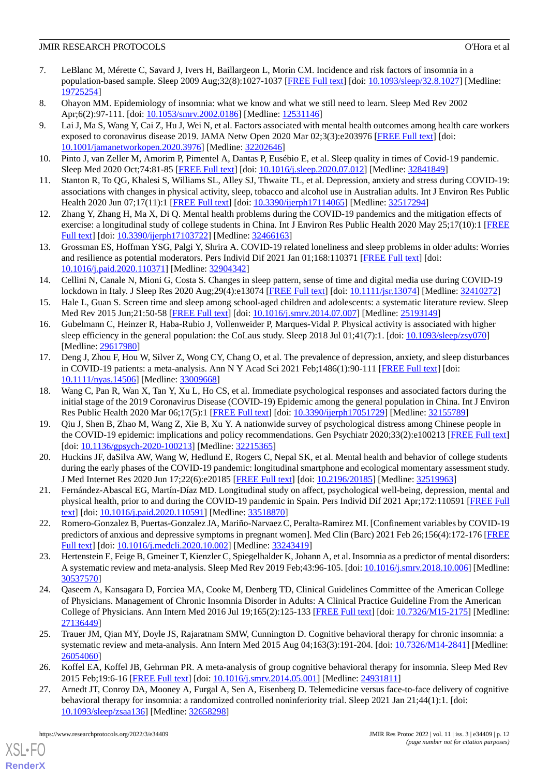- <span id="page-11-0"></span>7. LeBlanc M, Mérette C, Savard J, Ivers H, Baillargeon L, Morin CM. Incidence and risk factors of insomnia in a population-based sample. Sleep 2009 Aug;32(8):1027-1037 [\[FREE Full text](http://europepmc.org/abstract/MED/19725254)] [doi: [10.1093/sleep/32.8.1027](http://dx.doi.org/10.1093/sleep/32.8.1027)] [Medline: [19725254](http://www.ncbi.nlm.nih.gov/entrez/query.fcgi?cmd=Retrieve&db=PubMed&list_uids=19725254&dopt=Abstract)]
- <span id="page-11-2"></span><span id="page-11-1"></span>8. Ohayon MM. Epidemiology of insomnia: what we know and what we still need to learn. Sleep Med Rev 2002 Apr;6(2):97-111. [doi: [10.1053/smrv.2002.0186\]](http://dx.doi.org/10.1053/smrv.2002.0186) [Medline: [12531146](http://www.ncbi.nlm.nih.gov/entrez/query.fcgi?cmd=Retrieve&db=PubMed&list_uids=12531146&dopt=Abstract)]
- 9. Lai J, Ma S, Wang Y, Cai Z, Hu J, Wei N, et al. Factors associated with mental health outcomes among health care workers exposed to coronavirus disease 2019. JAMA Netw Open 2020 Mar 02;3(3):e203976 [\[FREE Full text\]](https://jamanetwork.com/journals/jamanetworkopen/fullarticle/10.1001/jamanetworkopen.2020.3976) [doi: [10.1001/jamanetworkopen.2020.3976](http://dx.doi.org/10.1001/jamanetworkopen.2020.3976)] [Medline: [32202646](http://www.ncbi.nlm.nih.gov/entrez/query.fcgi?cmd=Retrieve&db=PubMed&list_uids=32202646&dopt=Abstract)]
- <span id="page-11-4"></span><span id="page-11-3"></span>10. Pinto J, van Zeller M, Amorim P, Pimentel A, Dantas P, Eusébio E, et al. Sleep quality in times of Covid-19 pandemic. Sleep Med 2020 Oct;74:81-85 [[FREE Full text](http://europepmc.org/abstract/MED/32841849)] [doi: [10.1016/j.sleep.2020.07.012\]](http://dx.doi.org/10.1016/j.sleep.2020.07.012) [Medline: [32841849\]](http://www.ncbi.nlm.nih.gov/entrez/query.fcgi?cmd=Retrieve&db=PubMed&list_uids=32841849&dopt=Abstract)
- <span id="page-11-5"></span>11. Stanton R, To QG, Khalesi S, Williams SL, Alley SJ, Thwaite TL, et al. Depression, anxiety and stress during COVID-19: associations with changes in physical activity, sleep, tobacco and alcohol use in Australian adults. Int J Environ Res Public Health 2020 Jun 07;17(11):1 [[FREE Full text](https://www.mdpi.com/resolver?pii=ijerph17114065)] [doi: [10.3390/ijerph17114065\]](http://dx.doi.org/10.3390/ijerph17114065) [Medline: [32517294\]](http://www.ncbi.nlm.nih.gov/entrez/query.fcgi?cmd=Retrieve&db=PubMed&list_uids=32517294&dopt=Abstract)
- <span id="page-11-6"></span>12. Zhang Y, Zhang H, Ma X, Di Q. Mental health problems during the COVID-19 pandemics and the mitigation effects of exercise: a longitudinal study of college students in China. Int J Environ Res Public Health 2020 May 25;17(10):1 [\[FREE](https://www.mdpi.com/resolver?pii=ijerph17103722) [Full text\]](https://www.mdpi.com/resolver?pii=ijerph17103722) [doi: [10.3390/ijerph17103722\]](http://dx.doi.org/10.3390/ijerph17103722) [Medline: [32466163\]](http://www.ncbi.nlm.nih.gov/entrez/query.fcgi?cmd=Retrieve&db=PubMed&list_uids=32466163&dopt=Abstract)
- 13. Grossman ES, Hoffman YSG, Palgi Y, Shrira A. COVID-19 related loneliness and sleep problems in older adults: Worries and resilience as potential moderators. Pers Individ Dif 2021 Jan 01;168:110371 [\[FREE Full text](http://europepmc.org/abstract/MED/32904342)] [doi: [10.1016/j.paid.2020.110371](http://dx.doi.org/10.1016/j.paid.2020.110371)] [Medline: [32904342](http://www.ncbi.nlm.nih.gov/entrez/query.fcgi?cmd=Retrieve&db=PubMed&list_uids=32904342&dopt=Abstract)]
- 14. Cellini N, Canale N, Mioni G, Costa S. Changes in sleep pattern, sense of time and digital media use during COVID-19 lockdown in Italy. J Sleep Res 2020 Aug;29(4):e13074 [[FREE Full text](https://doi.org/10.1111/jsr.13074)] [doi: [10.1111/jsr.13074\]](http://dx.doi.org/10.1111/jsr.13074) [Medline: [32410272\]](http://www.ncbi.nlm.nih.gov/entrez/query.fcgi?cmd=Retrieve&db=PubMed&list_uids=32410272&dopt=Abstract)
- <span id="page-11-7"></span>15. Hale L, Guan S. Screen time and sleep among school-aged children and adolescents: a systematic literature review. Sleep Med Rev 2015 Jun;21:50-58 [[FREE Full text](http://europepmc.org/abstract/MED/25193149)] [doi: [10.1016/j.smrv.2014.07.007\]](http://dx.doi.org/10.1016/j.smrv.2014.07.007) [Medline: [25193149\]](http://www.ncbi.nlm.nih.gov/entrez/query.fcgi?cmd=Retrieve&db=PubMed&list_uids=25193149&dopt=Abstract)
- <span id="page-11-8"></span>16. Gubelmann C, Heinzer R, Haba-Rubio J, Vollenweider P, Marques-Vidal P. Physical activity is associated with higher sleep efficiency in the general population: the CoLaus study. Sleep 2018 Jul 01;41(7):1. [doi: [10.1093/sleep/zsy070\]](http://dx.doi.org/10.1093/sleep/zsy070) [Medline: [29617980](http://www.ncbi.nlm.nih.gov/entrez/query.fcgi?cmd=Retrieve&db=PubMed&list_uids=29617980&dopt=Abstract)]
- <span id="page-11-12"></span>17. Deng J, Zhou F, Hou W, Silver Z, Wong CY, Chang O, et al. The prevalence of depression, anxiety, and sleep disturbances in COVID-19 patients: a meta-analysis. Ann N Y Acad Sci 2021 Feb;1486(1):90-111 [\[FREE Full text](http://europepmc.org/abstract/MED/33009668)] [doi: [10.1111/nyas.14506\]](http://dx.doi.org/10.1111/nyas.14506) [Medline: [33009668](http://www.ncbi.nlm.nih.gov/entrez/query.fcgi?cmd=Retrieve&db=PubMed&list_uids=33009668&dopt=Abstract)]
- 18. Wang C, Pan R, Wan X, Tan Y, Xu L, Ho CS, et al. Immediate psychological responses and associated factors during the initial stage of the 2019 Coronavirus Disease (COVID-19) Epidemic among the general population in China. Int J Environ Res Public Health 2020 Mar 06;17(5):1 [[FREE Full text](https://www.mdpi.com/resolver?pii=ijerph17051729)] [doi: [10.3390/ijerph17051729](http://dx.doi.org/10.3390/ijerph17051729)] [Medline: [32155789\]](http://www.ncbi.nlm.nih.gov/entrez/query.fcgi?cmd=Retrieve&db=PubMed&list_uids=32155789&dopt=Abstract)
- 19. Qiu J, Shen B, Zhao M, Wang Z, Xie B, Xu Y. A nationwide survey of psychological distress among Chinese people in the COVID-19 epidemic: implications and policy recommendations. Gen Psychiatr 2020;33(2):e100213 [[FREE Full text](http://europepmc.org/abstract/MED/32215365)] [doi: [10.1136/gpsych-2020-100213](http://dx.doi.org/10.1136/gpsych-2020-100213)] [Medline: [32215365\]](http://www.ncbi.nlm.nih.gov/entrez/query.fcgi?cmd=Retrieve&db=PubMed&list_uids=32215365&dopt=Abstract)
- <span id="page-11-10"></span><span id="page-11-9"></span>20. Huckins JF, daSilva AW, Wang W, Hedlund E, Rogers C, Nepal SK, et al. Mental health and behavior of college students during the early phases of the COVID-19 pandemic: longitudinal smartphone and ecological momentary assessment study. J Med Internet Res 2020 Jun 17;22(6):e20185 [\[FREE Full text\]](https://www.jmir.org/2020/6/e20185/) [doi: [10.2196/20185](http://dx.doi.org/10.2196/20185)] [Medline: [32519963\]](http://www.ncbi.nlm.nih.gov/entrez/query.fcgi?cmd=Retrieve&db=PubMed&list_uids=32519963&dopt=Abstract)
- <span id="page-11-11"></span>21. Fernández-Abascal EG, Martín-Díaz MD. Longitudinal study on affect, psychological well-being, depression, mental and physical health, prior to and during the COVID-19 pandemic in Spain. Pers Individ Dif 2021 Apr;172:110591 [[FREE Full](http://europepmc.org/abstract/MED/33518870) [text](http://europepmc.org/abstract/MED/33518870)] [doi: [10.1016/j.paid.2020.110591](http://dx.doi.org/10.1016/j.paid.2020.110591)] [Medline: [33518870](http://www.ncbi.nlm.nih.gov/entrez/query.fcgi?cmd=Retrieve&db=PubMed&list_uids=33518870&dopt=Abstract)]
- <span id="page-11-13"></span>22. Romero-Gonzalez B, Puertas-Gonzalez JA, Mariño-Narvaez C, Peralta-Ramirez MI. [Confinement variables by COVID-19 predictors of anxious and depressive symptoms in pregnant women]. Med Clin (Barc) 2021 Feb 26;156(4):172-176 [\[FREE](http://europepmc.org/abstract/MED/33243419) [Full text\]](http://europepmc.org/abstract/MED/33243419) [doi: [10.1016/j.medcli.2020.10.002\]](http://dx.doi.org/10.1016/j.medcli.2020.10.002) [Medline: [33243419](http://www.ncbi.nlm.nih.gov/entrez/query.fcgi?cmd=Retrieve&db=PubMed&list_uids=33243419&dopt=Abstract)]
- <span id="page-11-14"></span>23. Hertenstein E, Feige B, Gmeiner T, Kienzler C, Spiegelhalder K, Johann A, et al. Insomnia as a predictor of mental disorders: A systematic review and meta-analysis. Sleep Med Rev 2019 Feb;43:96-105. [doi: [10.1016/j.smrv.2018.10.006\]](http://dx.doi.org/10.1016/j.smrv.2018.10.006) [Medline: [30537570](http://www.ncbi.nlm.nih.gov/entrez/query.fcgi?cmd=Retrieve&db=PubMed&list_uids=30537570&dopt=Abstract)]
- <span id="page-11-15"></span>24. Qaseem A, Kansagara D, Forciea MA, Cooke M, Denberg TD, Clinical Guidelines Committee of the American College of Physicians. Management of Chronic Insomnia Disorder in Adults: A Clinical Practice Guideline From the American College of Physicians. Ann Intern Med 2016 Jul 19;165(2):125-133 [[FREE Full text](https://www.acpjournals.org/doi/abs/10.7326/M15-2175?url_ver=Z39.88-2003&rfr_id=ori:rid:crossref.org&rfr_dat=cr_pub%3dpubmed)] [doi: [10.7326/M15-2175\]](http://dx.doi.org/10.7326/M15-2175) [Medline: [27136449](http://www.ncbi.nlm.nih.gov/entrez/query.fcgi?cmd=Retrieve&db=PubMed&list_uids=27136449&dopt=Abstract)]
- <span id="page-11-16"></span>25. Trauer JM, Qian MY, Doyle JS, Rajaratnam SMW, Cunnington D. Cognitive behavioral therapy for chronic insomnia: a systematic review and meta-analysis. Ann Intern Med 2015 Aug 04;163(3):191-204. [doi: [10.7326/M14-2841\]](http://dx.doi.org/10.7326/M14-2841) [Medline: [26054060](http://www.ncbi.nlm.nih.gov/entrez/query.fcgi?cmd=Retrieve&db=PubMed&list_uids=26054060&dopt=Abstract)]
- 26. Koffel EA, Koffel JB, Gehrman PR. A meta-analysis of group cognitive behavioral therapy for insomnia. Sleep Med Rev 2015 Feb;19:6-16 [[FREE Full text](http://europepmc.org/abstract/MED/24931811)] [doi: [10.1016/j.smrv.2014.05.001\]](http://dx.doi.org/10.1016/j.smrv.2014.05.001) [Medline: [24931811\]](http://www.ncbi.nlm.nih.gov/entrez/query.fcgi?cmd=Retrieve&db=PubMed&list_uids=24931811&dopt=Abstract)
- 27. Arnedt JT, Conroy DA, Mooney A, Furgal A, Sen A, Eisenberg D. Telemedicine versus face-to-face delivery of cognitive behavioral therapy for insomnia: a randomized controlled noninferiority trial. Sleep 2021 Jan 21;44(1):1. [doi: [10.1093/sleep/zsaa136](http://dx.doi.org/10.1093/sleep/zsaa136)] [Medline: [32658298](http://www.ncbi.nlm.nih.gov/entrez/query.fcgi?cmd=Retrieve&db=PubMed&list_uids=32658298&dopt=Abstract)]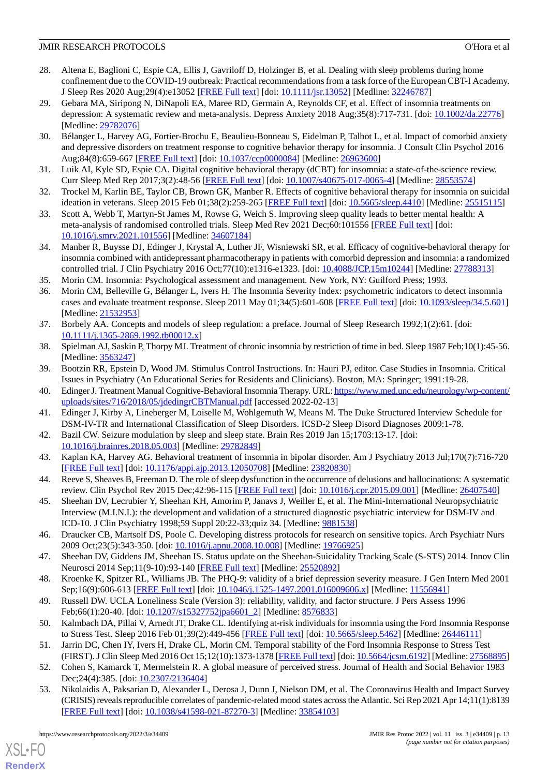- <span id="page-12-0"></span>28. Altena E, Baglioni C, Espie CA, Ellis J, Gavriloff D, Holzinger B, et al. Dealing with sleep problems during home confinement due to the COVID-19 outbreak: Practical recommendations from a task force of the European CBT-I Academy. J Sleep Res 2020 Aug;29(4):e13052 [\[FREE Full text\]](https://doi.org/10.1111/jsr.13052) [doi: [10.1111/jsr.13052](http://dx.doi.org/10.1111/jsr.13052)] [Medline: [32246787\]](http://www.ncbi.nlm.nih.gov/entrez/query.fcgi?cmd=Retrieve&db=PubMed&list_uids=32246787&dopt=Abstract)
- <span id="page-12-1"></span>29. Gebara MA, Siripong N, DiNapoli EA, Maree RD, Germain A, Reynolds CF, et al. Effect of insomnia treatments on depression: A systematic review and meta-analysis. Depress Anxiety 2018 Aug;35(8):717-731. [doi: [10.1002/da.22776\]](http://dx.doi.org/10.1002/da.22776) [Medline: [29782076](http://www.ncbi.nlm.nih.gov/entrez/query.fcgi?cmd=Retrieve&db=PubMed&list_uids=29782076&dopt=Abstract)]
- 30. Bélanger L, Harvey AG, Fortier-Brochu E, Beaulieu-Bonneau S, Eidelman P, Talbot L, et al. Impact of comorbid anxiety and depressive disorders on treatment response to cognitive behavior therapy for insomnia. J Consult Clin Psychol 2016 Aug;84(8):659-667 [\[FREE Full text](http://europepmc.org/abstract/MED/26963600)] [doi: [10.1037/ccp0000084\]](http://dx.doi.org/10.1037/ccp0000084) [Medline: [26963600\]](http://www.ncbi.nlm.nih.gov/entrez/query.fcgi?cmd=Retrieve&db=PubMed&list_uids=26963600&dopt=Abstract)
- 31. Luik AI, Kyle SD, Espie CA. Digital cognitive behavioral therapy (dCBT) for insomnia: a state-of-the-science review. Curr Sleep Med Rep 2017;3(2):48-56 [[FREE Full text](http://europepmc.org/abstract/MED/28553574)] [doi: [10.1007/s40675-017-0065-4\]](http://dx.doi.org/10.1007/s40675-017-0065-4) [Medline: [28553574](http://www.ncbi.nlm.nih.gov/entrez/query.fcgi?cmd=Retrieve&db=PubMed&list_uids=28553574&dopt=Abstract)]
- <span id="page-12-2"></span>32. Trockel M, Karlin BE, Taylor CB, Brown GK, Manber R. Effects of cognitive behavioral therapy for insomnia on suicidal ideation in veterans. Sleep 2015 Feb 01;38(2):259-265 [[FREE Full text](http://europepmc.org/abstract/MED/25515115)] [doi: [10.5665/sleep.4410\]](http://dx.doi.org/10.5665/sleep.4410) [Medline: [25515115](http://www.ncbi.nlm.nih.gov/entrez/query.fcgi?cmd=Retrieve&db=PubMed&list_uids=25515115&dopt=Abstract)]
- <span id="page-12-3"></span>33. Scott A, Webb T, Martyn-St James M, Rowse G, Weich S. Improving sleep quality leads to better mental health: A meta-analysis of randomised controlled trials. Sleep Med Rev 2021 Dec;60:101556 [[FREE Full text](https://linkinghub.elsevier.com/retrieve/pii/S1087-0792(21)00141-6)] [doi: [10.1016/j.smrv.2021.101556](http://dx.doi.org/10.1016/j.smrv.2021.101556)] [Medline: [34607184](http://www.ncbi.nlm.nih.gov/entrez/query.fcgi?cmd=Retrieve&db=PubMed&list_uids=34607184&dopt=Abstract)]
- <span id="page-12-5"></span><span id="page-12-4"></span>34. Manber R, Buysse DJ, Edinger J, Krystal A, Luther JF, Wisniewski SR, et al. Efficacy of cognitive-behavioral therapy for insomnia combined with antidepressant pharmacotherapy in patients with comorbid depression and insomnia: a randomized controlled trial. J Clin Psychiatry 2016 Oct;77(10):e1316-e1323. [doi: [10.4088/JCP.15m10244\]](http://dx.doi.org/10.4088/JCP.15m10244) [Medline: [27788313\]](http://www.ncbi.nlm.nih.gov/entrez/query.fcgi?cmd=Retrieve&db=PubMed&list_uids=27788313&dopt=Abstract)
- 35. Morin CM. Insomnia: Psychological assessment and management. New York, NY: Guilford Press; 1993.
- <span id="page-12-6"></span>36. Morin CM, Belleville G, Bélanger L, Ivers H. The Insomnia Severity Index: psychometric indicators to detect insomnia cases and evaluate treatment response. Sleep 2011 May 01;34(5):601-608 [\[FREE Full text\]](http://europepmc.org/abstract/MED/21532953) [doi: [10.1093/sleep/34.5.601](http://dx.doi.org/10.1093/sleep/34.5.601)] [Medline: [21532953](http://www.ncbi.nlm.nih.gov/entrez/query.fcgi?cmd=Retrieve&db=PubMed&list_uids=21532953&dopt=Abstract)]
- <span id="page-12-8"></span><span id="page-12-7"></span>37. Borbely AA. Concepts and models of sleep regulation: a preface. Journal of Sleep Research 1992;1(2):61. [doi: [10.1111/j.1365-2869.1992.tb00012.x\]](http://dx.doi.org/10.1111/j.1365-2869.1992.tb00012.x)
- <span id="page-12-9"></span>38. Spielman AJ, Saskin P, Thorpy MJ. Treatment of chronic insomnia by restriction of time in bed. Sleep 1987 Feb;10(1):45-56. [Medline: [3563247\]](http://www.ncbi.nlm.nih.gov/entrez/query.fcgi?cmd=Retrieve&db=PubMed&list_uids=3563247&dopt=Abstract)
- <span id="page-12-10"></span>39. Bootzin RR, Epstein D, Wood JM. Stimulus Control Instructions. In: Hauri PJ, editor. Case Studies in Insomnia. Critical Issues in Psychiatry (An Educational Series for Residents and Clinicians). Boston, MA: Springer; 1991:19-28.
- <span id="page-12-11"></span>40. Edinger J. Treatment Manual Cognitive-Behavioral Insomnia Therapy. URL: [https://www.med.unc.edu/neurology/wp-content/](https://www.med.unc.edu/neurology/wp-content/uploads/sites/716/2018/05/jdedingrCBTManual.pdf) [uploads/sites/716/2018/05/jdedingrCBTManual.pdf](https://www.med.unc.edu/neurology/wp-content/uploads/sites/716/2018/05/jdedingrCBTManual.pdf) [accessed 2022-02-13]
- <span id="page-12-12"></span>41. Edinger J, Kirby A, Lineberger M, Loiselle M, Wohlgemuth W, Means M. The Duke Structured Interview Schedule for DSM-IV-TR and International Classification of Sleep Disorders. ICSD-2 Sleep Disord Diagnoses 2009:1-78.
- <span id="page-12-13"></span>42. Bazil CW. Seizure modulation by sleep and sleep state. Brain Res 2019 Jan 15;1703:13-17. [doi: [10.1016/j.brainres.2018.05.003\]](http://dx.doi.org/10.1016/j.brainres.2018.05.003) [Medline: [29782849\]](http://www.ncbi.nlm.nih.gov/entrez/query.fcgi?cmd=Retrieve&db=PubMed&list_uids=29782849&dopt=Abstract)
- <span id="page-12-14"></span>43. Kaplan KA, Harvey AG. Behavioral treatment of insomnia in bipolar disorder. Am J Psychiatry 2013 Jul;170(7):716-720 [[FREE Full text](http://europepmc.org/abstract/MED/23820830)] [doi: [10.1176/appi.ajp.2013.12050708\]](http://dx.doi.org/10.1176/appi.ajp.2013.12050708) [Medline: [23820830\]](http://www.ncbi.nlm.nih.gov/entrez/query.fcgi?cmd=Retrieve&db=PubMed&list_uids=23820830&dopt=Abstract)
- <span id="page-12-15"></span>44. Reeve S, Sheaves B, Freeman D. The role of sleep dysfunction in the occurrence of delusions and hallucinations: A systematic review. Clin Psychol Rev 2015 Dec;42:96-115 [\[FREE Full text\]](https://linkinghub.elsevier.com/retrieve/pii/S0272-7358(15)00119-1) [doi: [10.1016/j.cpr.2015.09.001](http://dx.doi.org/10.1016/j.cpr.2015.09.001)] [Medline: [26407540\]](http://www.ncbi.nlm.nih.gov/entrez/query.fcgi?cmd=Retrieve&db=PubMed&list_uids=26407540&dopt=Abstract)
- <span id="page-12-16"></span>45. Sheehan DV, Lecrubier Y, Sheehan KH, Amorim P, Janavs J, Weiller E, et al. The Mini-International Neuropsychiatric Interview (M.I.N.I.): the development and validation of a structured diagnostic psychiatric interview for DSM-IV and ICD-10. J Clin Psychiatry 1998;59 Suppl 20:22-33;quiz 34. [Medline: [9881538\]](http://www.ncbi.nlm.nih.gov/entrez/query.fcgi?cmd=Retrieve&db=PubMed&list_uids=9881538&dopt=Abstract)
- <span id="page-12-18"></span><span id="page-12-17"></span>46. Draucker CB, Martsolf DS, Poole C. Developing distress protocols for research on sensitive topics. Arch Psychiatr Nurs 2009 Oct;23(5):343-350. [doi: [10.1016/j.apnu.2008.10.008\]](http://dx.doi.org/10.1016/j.apnu.2008.10.008) [Medline: [19766925\]](http://www.ncbi.nlm.nih.gov/entrez/query.fcgi?cmd=Retrieve&db=PubMed&list_uids=19766925&dopt=Abstract)
- <span id="page-12-19"></span>47. Sheehan DV, Giddens JM, Sheehan IS. Status update on the Sheehan-Suicidality Tracking Scale (S-STS) 2014. Innov Clin Neurosci 2014 Sep;11(9-10):93-140 [\[FREE Full text\]](http://europepmc.org/abstract/MED/25520892) [Medline: [25520892\]](http://www.ncbi.nlm.nih.gov/entrez/query.fcgi?cmd=Retrieve&db=PubMed&list_uids=25520892&dopt=Abstract)
- <span id="page-12-20"></span>48. Kroenke K, Spitzer RL, Williams JB. The PHQ-9: validity of a brief depression severity measure. J Gen Intern Med 2001 Sep;16(9):606-613 [[FREE Full text](https://onlinelibrary.wiley.com/resolve/openurl?genre=article&sid=nlm:pubmed&issn=0884-8734&date=2001&volume=16&issue=9&spage=606)] [doi: [10.1046/j.1525-1497.2001.016009606.x\]](http://dx.doi.org/10.1046/j.1525-1497.2001.016009606.x) [Medline: [11556941\]](http://www.ncbi.nlm.nih.gov/entrez/query.fcgi?cmd=Retrieve&db=PubMed&list_uids=11556941&dopt=Abstract)
- <span id="page-12-21"></span>49. Russell DW. UCLA Loneliness Scale (Version 3): reliability, validity, and factor structure. J Pers Assess 1996 Feb;66(1):20-40. [doi: [10.1207/s15327752jpa6601\\_2\]](http://dx.doi.org/10.1207/s15327752jpa6601_2) [Medline: [8576833\]](http://www.ncbi.nlm.nih.gov/entrez/query.fcgi?cmd=Retrieve&db=PubMed&list_uids=8576833&dopt=Abstract)
- <span id="page-12-22"></span>50. Kalmbach DA, Pillai V, Arnedt JT, Drake CL. Identifying at-risk individuals for insomnia using the Ford Insomnia Response to Stress Test. Sleep 2016 Feb 01;39(2):449-456 [[FREE Full text](http://europepmc.org/abstract/MED/26446111)] [doi: [10.5665/sleep.5462\]](http://dx.doi.org/10.5665/sleep.5462) [Medline: [26446111\]](http://www.ncbi.nlm.nih.gov/entrez/query.fcgi?cmd=Retrieve&db=PubMed&list_uids=26446111&dopt=Abstract)
- 51. Jarrin DC, Chen IY, Ivers H, Drake CL, Morin CM. Temporal stability of the Ford Insomnia Response to Stress Test (FIRST). J Clin Sleep Med 2016 Oct 15;12(10):1373-1378 [\[FREE Full text](https://doi.org/10.5664/jcsm.6192)] [doi: [10.5664/jcsm.6192](http://dx.doi.org/10.5664/jcsm.6192)] [Medline: [27568895\]](http://www.ncbi.nlm.nih.gov/entrez/query.fcgi?cmd=Retrieve&db=PubMed&list_uids=27568895&dopt=Abstract)
- 52. Cohen S, Kamarck T, Mermelstein R. A global measure of perceived stress. Journal of Health and Social Behavior 1983 Dec; 24(4): 385. [doi: [10.2307/2136404\]](http://dx.doi.org/10.2307/2136404)
- 53. Nikolaidis A, Paksarian D, Alexander L, Derosa J, Dunn J, Nielson DM, et al. The Coronavirus Health and Impact Survey (CRISIS) reveals reproducible correlates of pandemic-related mood states across the Atlantic. Sci Rep 2021 Apr 14;11(1):8139 [[FREE Full text](https://doi.org/10.1038/s41598-021-87270-3)] [doi: [10.1038/s41598-021-87270-3\]](http://dx.doi.org/10.1038/s41598-021-87270-3) [Medline: [33854103](http://www.ncbi.nlm.nih.gov/entrez/query.fcgi?cmd=Retrieve&db=PubMed&list_uids=33854103&dopt=Abstract)]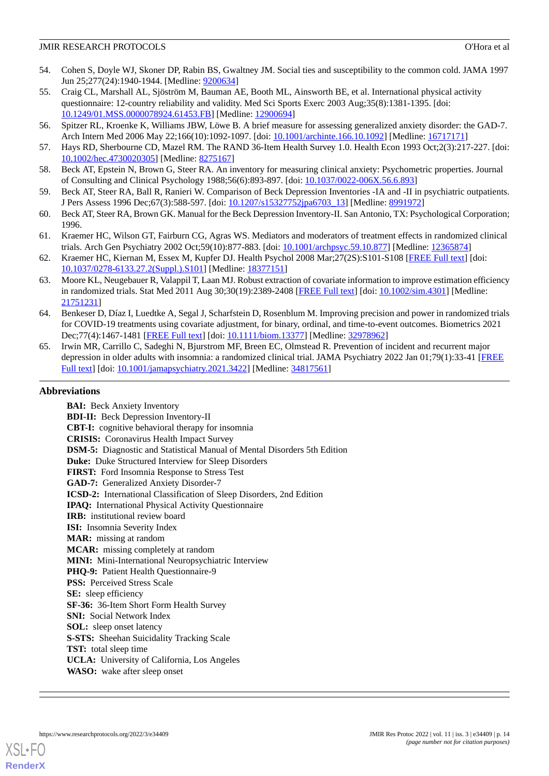- <span id="page-13-0"></span>54. Cohen S, Doyle WJ, Skoner DP, Rabin BS, Gwaltney JM. Social ties and susceptibility to the common cold. JAMA 1997 Jun 25;277(24):1940-1944. [Medline: [9200634](http://www.ncbi.nlm.nih.gov/entrez/query.fcgi?cmd=Retrieve&db=PubMed&list_uids=9200634&dopt=Abstract)]
- <span id="page-13-1"></span>55. Craig CL, Marshall AL, Sjöström M, Bauman AE, Booth ML, Ainsworth BE, et al. International physical activity questionnaire: 12-country reliability and validity. Med Sci Sports Exerc 2003 Aug;35(8):1381-1395. [doi: [10.1249/01.MSS.0000078924.61453.FB](http://dx.doi.org/10.1249/01.MSS.0000078924.61453.FB)] [Medline: [12900694\]](http://www.ncbi.nlm.nih.gov/entrez/query.fcgi?cmd=Retrieve&db=PubMed&list_uids=12900694&dopt=Abstract)
- <span id="page-13-3"></span><span id="page-13-2"></span>56. Spitzer RL, Kroenke K, Williams JBW, Löwe B. A brief measure for assessing generalized anxiety disorder: the GAD-7. Arch Intern Med 2006 May 22;166(10):1092-1097. [doi: [10.1001/archinte.166.10.1092](http://dx.doi.org/10.1001/archinte.166.10.1092)] [Medline: [16717171](http://www.ncbi.nlm.nih.gov/entrez/query.fcgi?cmd=Retrieve&db=PubMed&list_uids=16717171&dopt=Abstract)]
- <span id="page-13-4"></span>57. Hays RD, Sherbourne CD, Mazel RM. The RAND 36-Item Health Survey 1.0. Health Econ 1993 Oct;2(3):217-227. [doi: [10.1002/hec.4730020305](http://dx.doi.org/10.1002/hec.4730020305)] [Medline: [8275167\]](http://www.ncbi.nlm.nih.gov/entrez/query.fcgi?cmd=Retrieve&db=PubMed&list_uids=8275167&dopt=Abstract)
- <span id="page-13-5"></span>58. Beck AT, Epstein N, Brown G, Steer RA. An inventory for measuring clinical anxiety: Psychometric properties. Journal of Consulting and Clinical Psychology 1988;56(6):893-897. [doi: [10.1037/0022-006X.56.6.893](http://dx.doi.org/10.1037/0022-006X.56.6.893)]
- <span id="page-13-6"></span>59. Beck AT, Steer RA, Ball R, Ranieri W. Comparison of Beck Depression Inventories -IA and -II in psychiatric outpatients. J Pers Assess 1996 Dec;67(3):588-597. [doi: [10.1207/s15327752jpa6703\\_13](http://dx.doi.org/10.1207/s15327752jpa6703_13)] [Medline: [8991972](http://www.ncbi.nlm.nih.gov/entrez/query.fcgi?cmd=Retrieve&db=PubMed&list_uids=8991972&dopt=Abstract)]
- <span id="page-13-7"></span>60. Beck AT, Steer RA, Brown GK. Manual for the Beck Depression Inventory-II. San Antonio, TX: Psychological Corporation; 1996.
- <span id="page-13-8"></span>61. Kraemer HC, Wilson GT, Fairburn CG, Agras WS. Mediators and moderators of treatment effects in randomized clinical trials. Arch Gen Psychiatry 2002 Oct;59(10):877-883. [doi: [10.1001/archpsyc.59.10.877](http://dx.doi.org/10.1001/archpsyc.59.10.877)] [Medline: [12365874\]](http://www.ncbi.nlm.nih.gov/entrez/query.fcgi?cmd=Retrieve&db=PubMed&list_uids=12365874&dopt=Abstract)
- <span id="page-13-9"></span>62. Kraemer HC, Kiernan M, Essex M, Kupfer DJ. Health Psychol 2008 Mar;27(2S):S101-S108 [\[FREE Full text\]](http://europepmc.org/abstract/MED/18377151) [doi: [10.1037/0278-6133.27.2\(Suppl.\).S101\]](http://dx.doi.org/10.1037/0278-6133.27.2(Suppl.).S101) [Medline: [18377151](http://www.ncbi.nlm.nih.gov/entrez/query.fcgi?cmd=Retrieve&db=PubMed&list_uids=18377151&dopt=Abstract)]
- <span id="page-13-10"></span>63. Moore KL, Neugebauer R, Valappil T, Laan MJ. Robust extraction of covariate information to improve estimation efficiency in randomized trials. Stat Med 2011 Aug 30;30(19):2389-2408 [[FREE Full text](http://europepmc.org/abstract/MED/21751231)] [doi: [10.1002/sim.4301\]](http://dx.doi.org/10.1002/sim.4301) [Medline: [21751231](http://www.ncbi.nlm.nih.gov/entrez/query.fcgi?cmd=Retrieve&db=PubMed&list_uids=21751231&dopt=Abstract)]
- <span id="page-13-11"></span>64. Benkeser D, Díaz I, Luedtke A, Segal J, Scharfstein D, Rosenblum M. Improving precision and power in randomized trials for COVID-19 treatments using covariate adjustment, for binary, ordinal, and time-to-event outcomes. Biometrics 2021 Dec;77(4):1467-1481 [\[FREE Full text](http://europepmc.org/abstract/MED/32978962)] [doi: [10.1111/biom.13377\]](http://dx.doi.org/10.1111/biom.13377) [Medline: [32978962\]](http://www.ncbi.nlm.nih.gov/entrez/query.fcgi?cmd=Retrieve&db=PubMed&list_uids=32978962&dopt=Abstract)
- 65. Irwin MR, Carrillo C, Sadeghi N, Bjurstrom MF, Breen EC, Olmstead R. Prevention of incident and recurrent major depression in older adults with insomnia: a randomized clinical trial. JAMA Psychiatry 2022 Jan 01;79(1):33-41 [[FREE](http://europepmc.org/abstract/MED/34817561) [Full text\]](http://europepmc.org/abstract/MED/34817561) [doi: [10.1001/jamapsychiatry.2021.3422\]](http://dx.doi.org/10.1001/jamapsychiatry.2021.3422) [Medline: [34817561\]](http://www.ncbi.nlm.nih.gov/entrez/query.fcgi?cmd=Retrieve&db=PubMed&list_uids=34817561&dopt=Abstract)

## **Abbreviations**

**BAI:** Beck Anxiety Inventory **BDI-II:** Beck Depression Inventory-II **CBT-I:** cognitive behavioral therapy for insomnia **CRISIS:** Coronavirus Health Impact Survey **DSM-5:** Diagnostic and Statistical Manual of Mental Disorders 5th Edition **Duke:** Duke Structured Interview for Sleep Disorders **FIRST:** Ford Insomnia Response to Stress Test **GAD-7:** Generalized Anxiety Disorder-7 **ICSD-2:** International Classification of Sleep Disorders, 2nd Edition **IPAQ:** International Physical Activity Questionnaire **IRB:** institutional review board **ISI:** Insomnia Severity Index **MAR:** missing at random **MCAR:** missing completely at random **MINI:** Mini-International Neuropsychiatric Interview PHQ-9: Patient Health Questionnaire-9 **PSS: Perceived Stress Scale SE:** sleep efficiency **SF-36:** 36-Item Short Form Health Survey **SNI:** Social Network Index **SOL:** sleep onset latency **S-STS:** Sheehan Suicidality Tracking Scale **TST:** total sleep time **UCLA:** University of California, Los Angeles **WASO:** wake after sleep onset